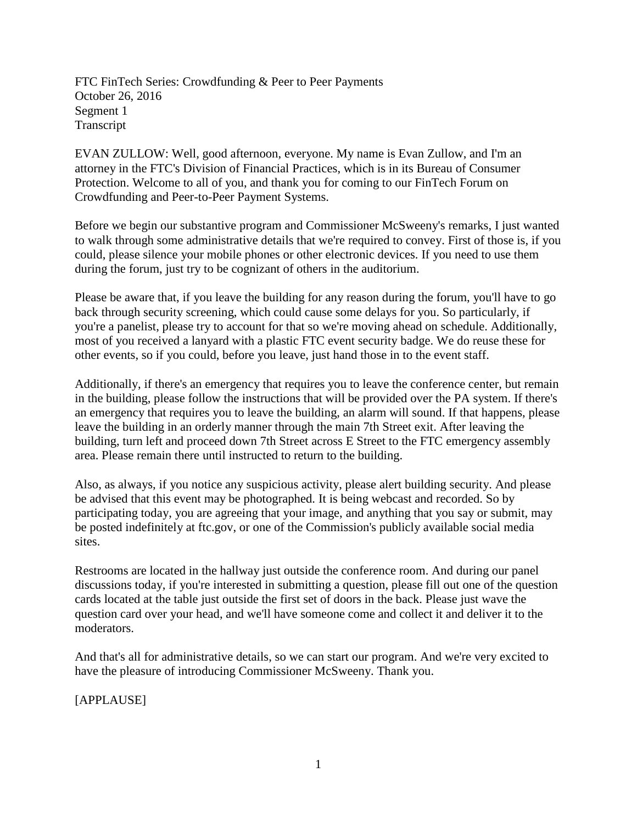FTC FinTech Series: Crowdfunding & Peer to Peer Payments October 26, 2016 Segment 1 Transcript

EVAN ZULLOW: Well, good afternoon, everyone. My name is Evan Zullow, and I'm an attorney in the FTC's Division of Financial Practices, which is in its Bureau of Consumer Protection. Welcome to all of you, and thank you for coming to our FinTech Forum on Crowdfunding and Peer-to-Peer Payment Systems.

Before we begin our substantive program and Commissioner McSweeny's remarks, I just wanted to walk through some administrative details that we're required to convey. First of those is, if you could, please silence your mobile phones or other electronic devices. If you need to use them during the forum, just try to be cognizant of others in the auditorium.

Please be aware that, if you leave the building for any reason during the forum, you'll have to go back through security screening, which could cause some delays for you. So particularly, if you're a panelist, please try to account for that so we're moving ahead on schedule. Additionally, most of you received a lanyard with a plastic FTC event security badge. We do reuse these for other events, so if you could, before you leave, just hand those in to the event staff.

Additionally, if there's an emergency that requires you to leave the conference center, but remain in the building, please follow the instructions that will be provided over the PA system. If there's an emergency that requires you to leave the building, an alarm will sound. If that happens, please leave the building in an orderly manner through the main 7th Street exit. After leaving the building, turn left and proceed down 7th Street across E Street to the FTC emergency assembly area. Please remain there until instructed to return to the building.

Also, as always, if you notice any suspicious activity, please alert building security. And please be advised that this event may be photographed. It is being webcast and recorded. So by participating today, you are agreeing that your image, and anything that you say or submit, may be posted indefinitely at ftc.gov, or one of the Commission's publicly available social media sites.

Restrooms are located in the hallway just outside the conference room. And during our panel discussions today, if you're interested in submitting a question, please fill out one of the question cards located at the table just outside the first set of doors in the back. Please just wave the question card over your head, and we'll have someone come and collect it and deliver it to the moderators.

And that's all for administrative details, so we can start our program. And we're very excited to have the pleasure of introducing Commissioner McSweeny. Thank you.

[APPLAUSE]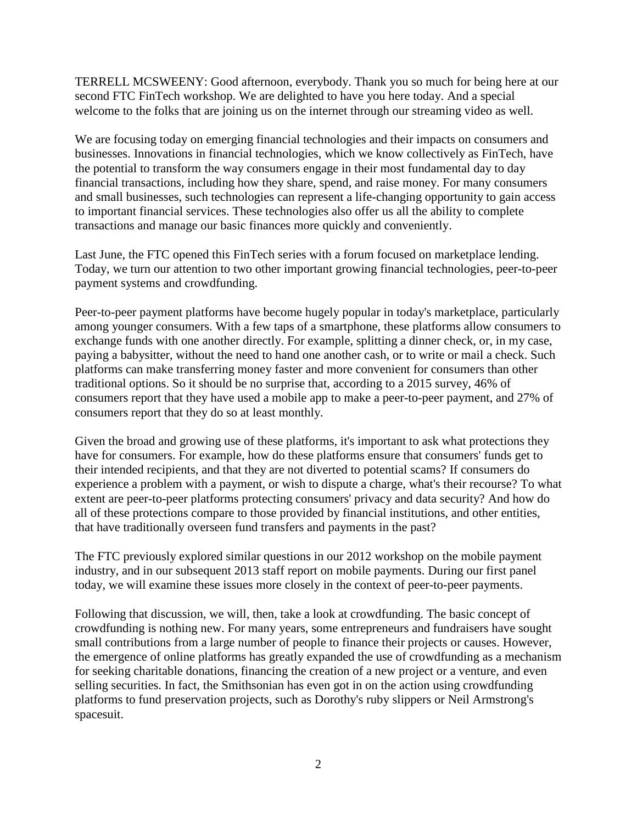TERRELL MCSWEENY: Good afternoon, everybody. Thank you so much for being here at our second FTC FinTech workshop. We are delighted to have you here today. And a special welcome to the folks that are joining us on the internet through our streaming video as well.

We are focusing today on emerging financial technologies and their impacts on consumers and businesses. Innovations in financial technologies, which we know collectively as FinTech, have the potential to transform the way consumers engage in their most fundamental day to day financial transactions, including how they share, spend, and raise money. For many consumers and small businesses, such technologies can represent a life-changing opportunity to gain access to important financial services. These technologies also offer us all the ability to complete transactions and manage our basic finances more quickly and conveniently.

Last June, the FTC opened this FinTech series with a forum focused on marketplace lending. Today, we turn our attention to two other important growing financial technologies, peer-to-peer payment systems and crowdfunding.

Peer-to-peer payment platforms have become hugely popular in today's marketplace, particularly among younger consumers. With a few taps of a smartphone, these platforms allow consumers to exchange funds with one another directly. For example, splitting a dinner check, or, in my case, paying a babysitter, without the need to hand one another cash, or to write or mail a check. Such platforms can make transferring money faster and more convenient for consumers than other traditional options. So it should be no surprise that, according to a 2015 survey, 46% of consumers report that they have used a mobile app to make a peer-to-peer payment, and 27% of consumers report that they do so at least monthly.

Given the broad and growing use of these platforms, it's important to ask what protections they have for consumers. For example, how do these platforms ensure that consumers' funds get to their intended recipients, and that they are not diverted to potential scams? If consumers do experience a problem with a payment, or wish to dispute a charge, what's their recourse? To what extent are peer-to-peer platforms protecting consumers' privacy and data security? And how do all of these protections compare to those provided by financial institutions, and other entities, that have traditionally overseen fund transfers and payments in the past?

The FTC previously explored similar questions in our 2012 workshop on the mobile payment industry, and in our subsequent 2013 staff report on mobile payments. During our first panel today, we will examine these issues more closely in the context of peer-to-peer payments.

Following that discussion, we will, then, take a look at crowdfunding. The basic concept of crowdfunding is nothing new. For many years, some entrepreneurs and fundraisers have sought small contributions from a large number of people to finance their projects or causes. However, the emergence of online platforms has greatly expanded the use of crowdfunding as a mechanism for seeking charitable donations, financing the creation of a new project or a venture, and even selling securities. In fact, the Smithsonian has even got in on the action using crowdfunding platforms to fund preservation projects, such as Dorothy's ruby slippers or Neil Armstrong's spacesuit.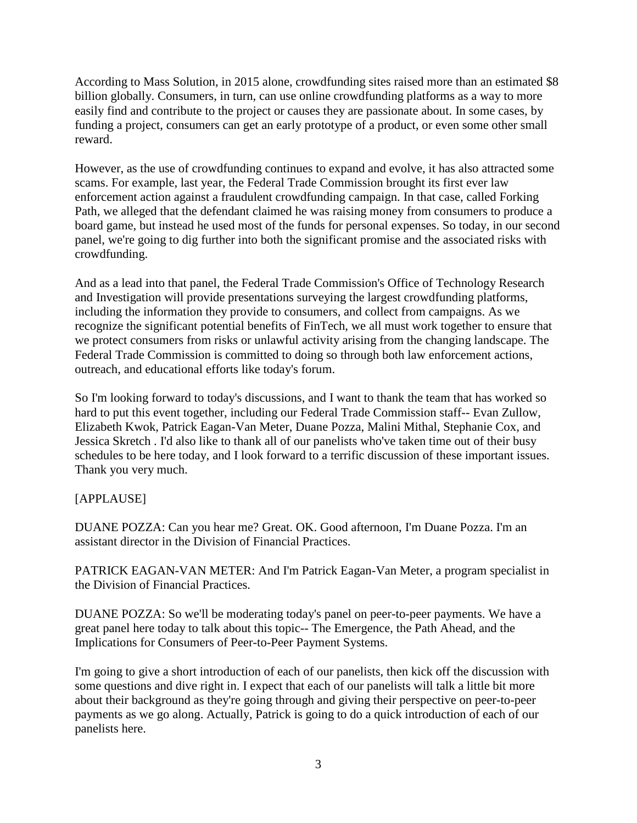According to Mass Solution, in 2015 alone, crowdfunding sites raised more than an estimated \$8 billion globally. Consumers, in turn, can use online crowdfunding platforms as a way to more easily find and contribute to the project or causes they are passionate about. In some cases, by funding a project, consumers can get an early prototype of a product, or even some other small reward.

However, as the use of crowdfunding continues to expand and evolve, it has also attracted some scams. For example, last year, the Federal Trade Commission brought its first ever law enforcement action against a fraudulent crowdfunding campaign. In that case, called Forking Path, we alleged that the defendant claimed he was raising money from consumers to produce a board game, but instead he used most of the funds for personal expenses. So today, in our second panel, we're going to dig further into both the significant promise and the associated risks with crowdfunding.

And as a lead into that panel, the Federal Trade Commission's Office of Technology Research and Investigation will provide presentations surveying the largest crowdfunding platforms, including the information they provide to consumers, and collect from campaigns. As we recognize the significant potential benefits of FinTech, we all must work together to ensure that we protect consumers from risks or unlawful activity arising from the changing landscape. The Federal Trade Commission is committed to doing so through both law enforcement actions, outreach, and educational efforts like today's forum.

So I'm looking forward to today's discussions, and I want to thank the team that has worked so hard to put this event together, including our Federal Trade Commission staff-- Evan Zullow, Elizabeth Kwok, Patrick Eagan-Van Meter, Duane Pozza, Malini Mithal, Stephanie Cox, and Jessica Skretch . I'd also like to thank all of our panelists who've taken time out of their busy schedules to be here today, and I look forward to a terrific discussion of these important issues. Thank you very much.

# [APPLAUSE]

DUANE POZZA: Can you hear me? Great. OK. Good afternoon, I'm Duane Pozza. I'm an assistant director in the Division of Financial Practices.

PATRICK EAGAN-VAN METER: And I'm Patrick Eagan-Van Meter, a program specialist in the Division of Financial Practices.

DUANE POZZA: So we'll be moderating today's panel on peer-to-peer payments. We have a great panel here today to talk about this topic-- The Emergence, the Path Ahead, and the Implications for Consumers of Peer-to-Peer Payment Systems.

I'm going to give a short introduction of each of our panelists, then kick off the discussion with some questions and dive right in. I expect that each of our panelists will talk a little bit more about their background as they're going through and giving their perspective on peer-to-peer payments as we go along. Actually, Patrick is going to do a quick introduction of each of our panelists here.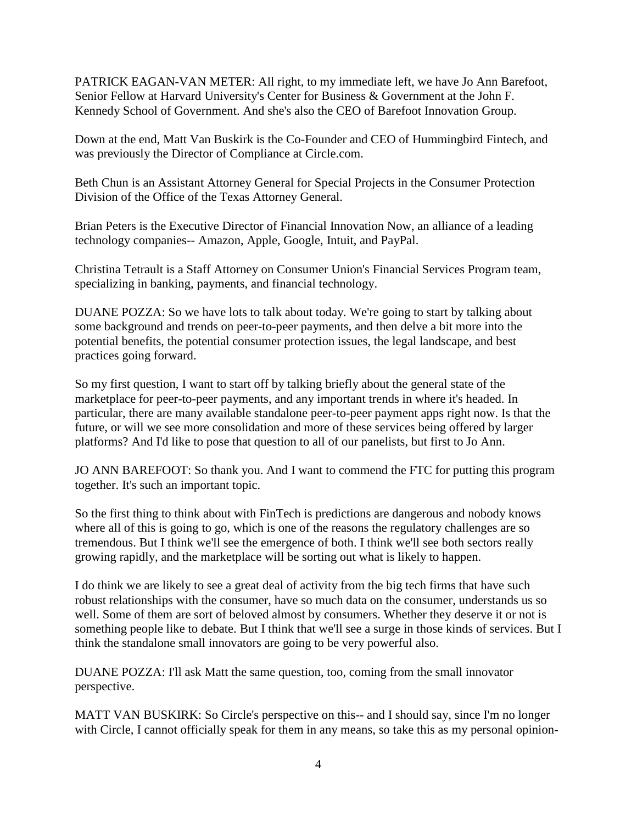PATRICK EAGAN-VAN METER: All right, to my immediate left, we have Jo Ann Barefoot, Senior Fellow at Harvard University's Center for Business & Government at the John F. Kennedy School of Government. And she's also the CEO of Barefoot Innovation Group.

Down at the end, Matt Van Buskirk is the Co-Founder and CEO of Hummingbird Fintech, and was previously the Director of Compliance at Circle.com.

Beth Chun is an Assistant Attorney General for Special Projects in the Consumer Protection Division of the Office of the Texas Attorney General.

Brian Peters is the Executive Director of Financial Innovation Now, an alliance of a leading technology companies-- Amazon, Apple, Google, Intuit, and PayPal.

Christina Tetrault is a Staff Attorney on Consumer Union's Financial Services Program team, specializing in banking, payments, and financial technology.

DUANE POZZA: So we have lots to talk about today. We're going to start by talking about some background and trends on peer-to-peer payments, and then delve a bit more into the potential benefits, the potential consumer protection issues, the legal landscape, and best practices going forward.

So my first question, I want to start off by talking briefly about the general state of the marketplace for peer-to-peer payments, and any important trends in where it's headed. In particular, there are many available standalone peer-to-peer payment apps right now. Is that the future, or will we see more consolidation and more of these services being offered by larger platforms? And I'd like to pose that question to all of our panelists, but first to Jo Ann.

JO ANN BAREFOOT: So thank you. And I want to commend the FTC for putting this program together. It's such an important topic.

So the first thing to think about with FinTech is predictions are dangerous and nobody knows where all of this is going to go, which is one of the reasons the regulatory challenges are so tremendous. But I think we'll see the emergence of both. I think we'll see both sectors really growing rapidly, and the marketplace will be sorting out what is likely to happen.

I do think we are likely to see a great deal of activity from the big tech firms that have such robust relationships with the consumer, have so much data on the consumer, understands us so well. Some of them are sort of beloved almost by consumers. Whether they deserve it or not is something people like to debate. But I think that we'll see a surge in those kinds of services. But I think the standalone small innovators are going to be very powerful also.

DUANE POZZA: I'll ask Matt the same question, too, coming from the small innovator perspective.

MATT VAN BUSKIRK: So Circle's perspective on this-- and I should say, since I'm no longer with Circle, I cannot officially speak for them in any means, so take this as my personal opinion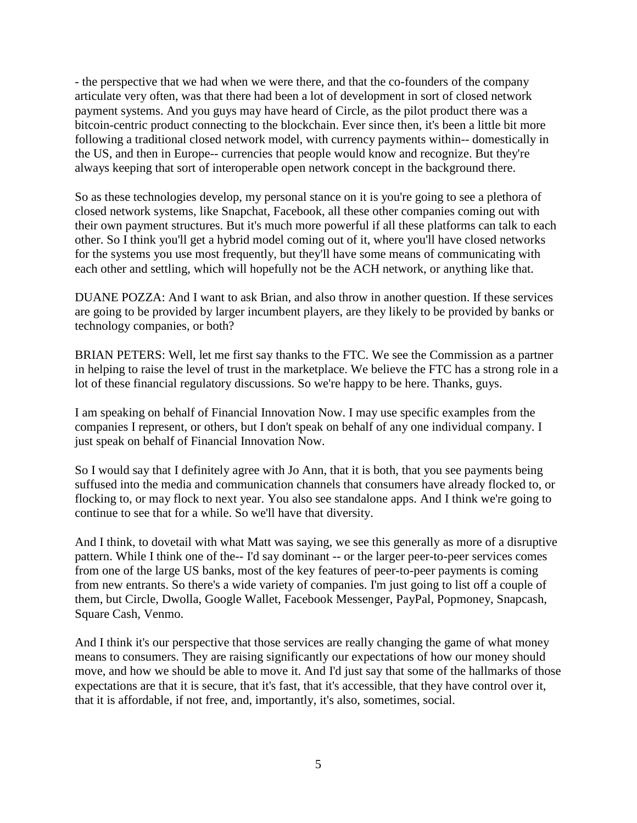- the perspective that we had when we were there, and that the co-founders of the company articulate very often, was that there had been a lot of development in sort of closed network payment systems. And you guys may have heard of Circle, as the pilot product there was a bitcoin-centric product connecting to the blockchain. Ever since then, it's been a little bit more following a traditional closed network model, with currency payments within-- domestically in the US, and then in Europe-- currencies that people would know and recognize. But they're always keeping that sort of interoperable open network concept in the background there.

So as these technologies develop, my personal stance on it is you're going to see a plethora of closed network systems, like Snapchat, Facebook, all these other companies coming out with their own payment structures. But it's much more powerful if all these platforms can talk to each other. So I think you'll get a hybrid model coming out of it, where you'll have closed networks for the systems you use most frequently, but they'll have some means of communicating with each other and settling, which will hopefully not be the ACH network, or anything like that.

DUANE POZZA: And I want to ask Brian, and also throw in another question. If these services are going to be provided by larger incumbent players, are they likely to be provided by banks or technology companies, or both?

BRIAN PETERS: Well, let me first say thanks to the FTC. We see the Commission as a partner in helping to raise the level of trust in the marketplace. We believe the FTC has a strong role in a lot of these financial regulatory discussions. So we're happy to be here. Thanks, guys.

I am speaking on behalf of Financial Innovation Now. I may use specific examples from the companies I represent, or others, but I don't speak on behalf of any one individual company. I just speak on behalf of Financial Innovation Now.

So I would say that I definitely agree with Jo Ann, that it is both, that you see payments being suffused into the media and communication channels that consumers have already flocked to, or flocking to, or may flock to next year. You also see standalone apps. And I think we're going to continue to see that for a while. So we'll have that diversity.

And I think, to dovetail with what Matt was saying, we see this generally as more of a disruptive pattern. While I think one of the-- I'd say dominant -- or the larger peer-to-peer services comes from one of the large US banks, most of the key features of peer-to-peer payments is coming from new entrants. So there's a wide variety of companies. I'm just going to list off a couple of them, but Circle, Dwolla, Google Wallet, Facebook Messenger, PayPal, Popmoney, Snapcash, Square Cash, Venmo.

And I think it's our perspective that those services are really changing the game of what money means to consumers. They are raising significantly our expectations of how our money should move, and how we should be able to move it. And I'd just say that some of the hallmarks of those expectations are that it is secure, that it's fast, that it's accessible, that they have control over it, that it is affordable, if not free, and, importantly, it's also, sometimes, social.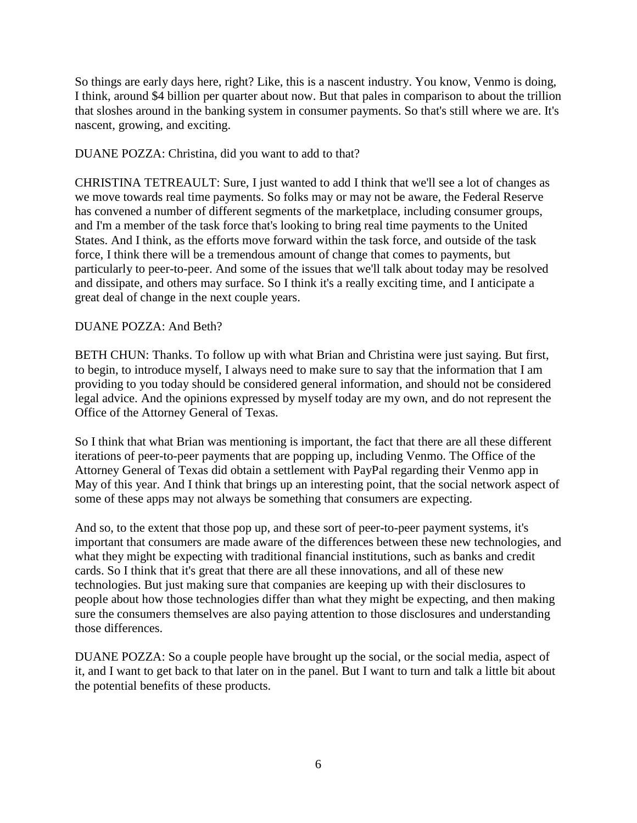So things are early days here, right? Like, this is a nascent industry. You know, Venmo is doing, I think, around \$4 billion per quarter about now. But that pales in comparison to about the trillion that sloshes around in the banking system in consumer payments. So that's still where we are. It's nascent, growing, and exciting.

DUANE POZZA: Christina, did you want to add to that?

CHRISTINA TETREAULT: Sure, I just wanted to add I think that we'll see a lot of changes as we move towards real time payments. So folks may or may not be aware, the Federal Reserve has convened a number of different segments of the marketplace, including consumer groups, and I'm a member of the task force that's looking to bring real time payments to the United States. And I think, as the efforts move forward within the task force, and outside of the task force, I think there will be a tremendous amount of change that comes to payments, but particularly to peer-to-peer. And some of the issues that we'll talk about today may be resolved and dissipate, and others may surface. So I think it's a really exciting time, and I anticipate a great deal of change in the next couple years.

# DUANE POZZA: And Beth?

BETH CHUN: Thanks. To follow up with what Brian and Christina were just saying. But first, to begin, to introduce myself, I always need to make sure to say that the information that I am providing to you today should be considered general information, and should not be considered legal advice. And the opinions expressed by myself today are my own, and do not represent the Office of the Attorney General of Texas.

So I think that what Brian was mentioning is important, the fact that there are all these different iterations of peer-to-peer payments that are popping up, including Venmo. The Office of the Attorney General of Texas did obtain a settlement with PayPal regarding their Venmo app in May of this year. And I think that brings up an interesting point, that the social network aspect of some of these apps may not always be something that consumers are expecting.

And so, to the extent that those pop up, and these sort of peer-to-peer payment systems, it's important that consumers are made aware of the differences between these new technologies, and what they might be expecting with traditional financial institutions, such as banks and credit cards. So I think that it's great that there are all these innovations, and all of these new technologies. But just making sure that companies are keeping up with their disclosures to people about how those technologies differ than what they might be expecting, and then making sure the consumers themselves are also paying attention to those disclosures and understanding those differences.

DUANE POZZA: So a couple people have brought up the social, or the social media, aspect of it, and I want to get back to that later on in the panel. But I want to turn and talk a little bit about the potential benefits of these products.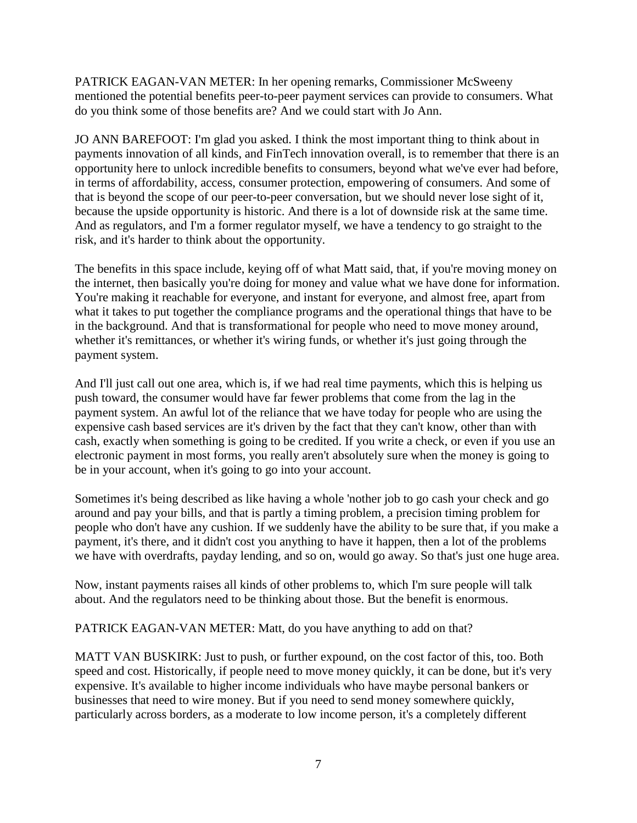PATRICK EAGAN-VAN METER: In her opening remarks, Commissioner McSweeny mentioned the potential benefits peer-to-peer payment services can provide to consumers. What do you think some of those benefits are? And we could start with Jo Ann.

JO ANN BAREFOOT: I'm glad you asked. I think the most important thing to think about in payments innovation of all kinds, and FinTech innovation overall, is to remember that there is an opportunity here to unlock incredible benefits to consumers, beyond what we've ever had before, in terms of affordability, access, consumer protection, empowering of consumers. And some of that is beyond the scope of our peer-to-peer conversation, but we should never lose sight of it, because the upside opportunity is historic. And there is a lot of downside risk at the same time. And as regulators, and I'm a former regulator myself, we have a tendency to go straight to the risk, and it's harder to think about the opportunity.

The benefits in this space include, keying off of what Matt said, that, if you're moving money on the internet, then basically you're doing for money and value what we have done for information. You're making it reachable for everyone, and instant for everyone, and almost free, apart from what it takes to put together the compliance programs and the operational things that have to be in the background. And that is transformational for people who need to move money around, whether it's remittances, or whether it's wiring funds, or whether it's just going through the payment system.

And I'll just call out one area, which is, if we had real time payments, which this is helping us push toward, the consumer would have far fewer problems that come from the lag in the payment system. An awful lot of the reliance that we have today for people who are using the expensive cash based services are it's driven by the fact that they can't know, other than with cash, exactly when something is going to be credited. If you write a check, or even if you use an electronic payment in most forms, you really aren't absolutely sure when the money is going to be in your account, when it's going to go into your account.

Sometimes it's being described as like having a whole 'nother job to go cash your check and go around and pay your bills, and that is partly a timing problem, a precision timing problem for people who don't have any cushion. If we suddenly have the ability to be sure that, if you make a payment, it's there, and it didn't cost you anything to have it happen, then a lot of the problems we have with overdrafts, payday lending, and so on, would go away. So that's just one huge area.

Now, instant payments raises all kinds of other problems to, which I'm sure people will talk about. And the regulators need to be thinking about those. But the benefit is enormous.

PATRICK EAGAN-VAN METER: Matt, do you have anything to add on that?

MATT VAN BUSKIRK: Just to push, or further expound, on the cost factor of this, too. Both speed and cost. Historically, if people need to move money quickly, it can be done, but it's very expensive. It's available to higher income individuals who have maybe personal bankers or businesses that need to wire money. But if you need to send money somewhere quickly, particularly across borders, as a moderate to low income person, it's a completely different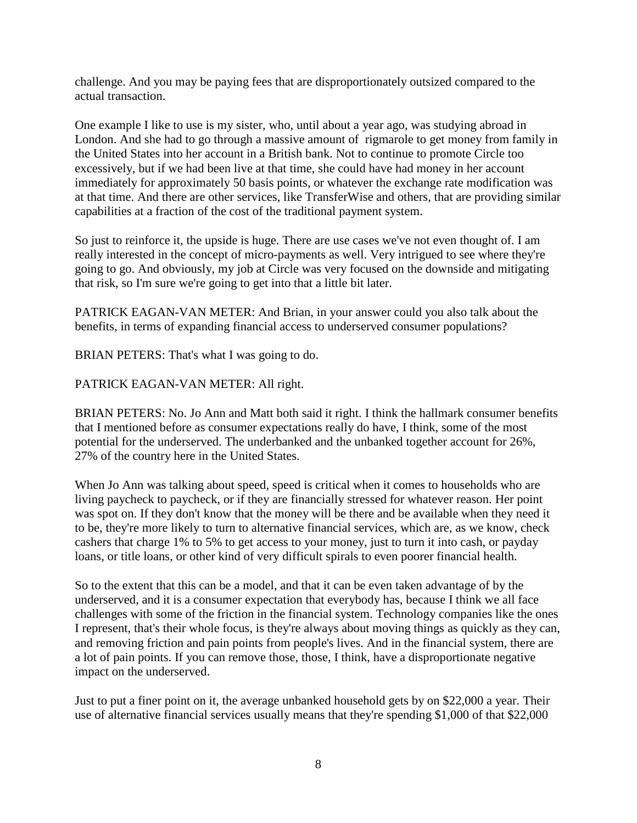challenge. And you may be paying fees that are disproportionately outsized compared to the actual transaction.

One example I like to use is my sister, who, until about a year ago, was studying abroad in London. And she had to go through a massive amount of rigmarole to get money from family in the United States into her account in a British bank. Not to continue to promote Circle too excessively, but if we had been live at that time, she could have had money in her account immediately for approximately 50 basis points, or whatever the exchange rate modification was at that time. And there are other services, like TransferWise and others, that are providing similar capabilities at a fraction of the cost of the traditional payment system.

So just to reinforce it, the upside is huge. There are use cases we've not even thought of. I am really interested in the concept of micro-payments as well. Very intrigued to see where they're going to go. And obviously, my job at Circle was very focused on the downside and mitigating that risk, so I'm sure we're going to get into that a little bit later.

PATRICK EAGAN-VAN METER: And Brian, in your answer could you also talk about the benefits, in terms of expanding financial access to underserved consumer populations?

BRIAN PETERS: That's what I was going to do.

# PATRICK EAGAN-VAN METER: All right.

BRIAN PETERS: No. Jo Ann and Matt both said it right. I think the hallmark consumer benefits that I mentioned before as consumer expectations really do have, I think, some of the most potential for the underserved. The underbanked and the unbanked together account for 26%, 27% of the country here in the United States.

When Jo Ann was talking about speed, speed is critical when it comes to households who are living paycheck to paycheck, or if they are financially stressed for whatever reason. Her point was spot on. If they don't know that the money will be there and be available when they need it to be, they're more likely to turn to alternative financial services, which are, as we know, check cashers that charge 1% to 5% to get access to your money, just to turn it into cash, or payday loans, or title loans, or other kind of very difficult spirals to even poorer financial health.

So to the extent that this can be a model, and that it can be even taken advantage of by the underserved, and it is a consumer expectation that everybody has, because I think we all face challenges with some of the friction in the financial system. Technology companies like the ones I represent, that's their whole focus, is they're always about moving things as quickly as they can, and removing friction and pain points from people's lives. And in the financial system, there are a lot of pain points. If you can remove those, those, I think, have a disproportionate negative impact on the underserved.

Just to put a finer point on it, the average unbanked household gets by on \$22,000 a year. Their use of alternative financial services usually means that they're spending \$1,000 of that \$22,000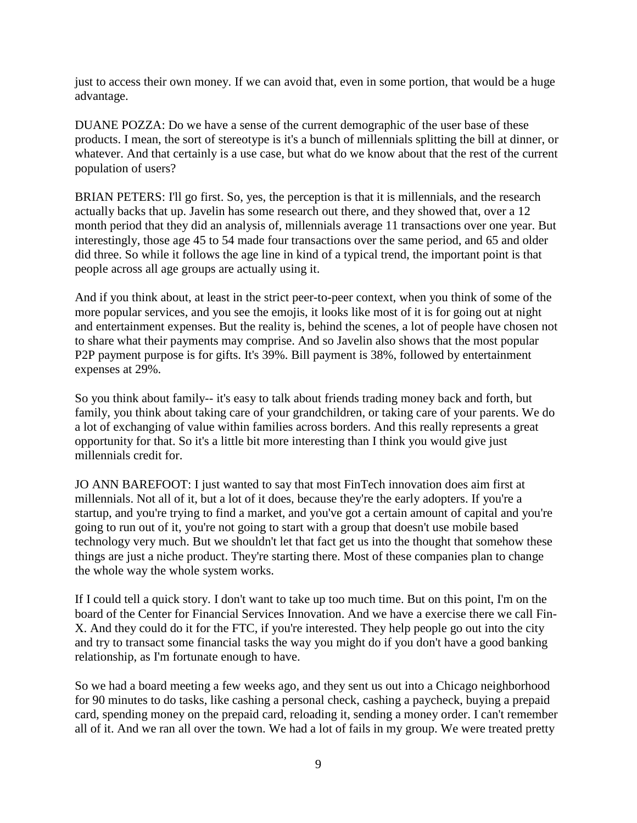just to access their own money. If we can avoid that, even in some portion, that would be a huge advantage.

DUANE POZZA: Do we have a sense of the current demographic of the user base of these products. I mean, the sort of stereotype is it's a bunch of millennials splitting the bill at dinner, or whatever. And that certainly is a use case, but what do we know about that the rest of the current population of users?

BRIAN PETERS: I'll go first. So, yes, the perception is that it is millennials, and the research actually backs that up. Javelin has some research out there, and they showed that, over a 12 month period that they did an analysis of, millennials average 11 transactions over one year. But interestingly, those age 45 to 54 made four transactions over the same period, and 65 and older did three. So while it follows the age line in kind of a typical trend, the important point is that people across all age groups are actually using it.

And if you think about, at least in the strict peer-to-peer context, when you think of some of the more popular services, and you see the emojis, it looks like most of it is for going out at night and entertainment expenses. But the reality is, behind the scenes, a lot of people have chosen not to share what their payments may comprise. And so Javelin also shows that the most popular P2P payment purpose is for gifts. It's 39%. Bill payment is 38%, followed by entertainment expenses at 29%.

So you think about family-- it's easy to talk about friends trading money back and forth, but family, you think about taking care of your grandchildren, or taking care of your parents. We do a lot of exchanging of value within families across borders. And this really represents a great opportunity for that. So it's a little bit more interesting than I think you would give just millennials credit for.

JO ANN BAREFOOT: I just wanted to say that most FinTech innovation does aim first at millennials. Not all of it, but a lot of it does, because they're the early adopters. If you're a startup, and you're trying to find a market, and you've got a certain amount of capital and you're going to run out of it, you're not going to start with a group that doesn't use mobile based technology very much. But we shouldn't let that fact get us into the thought that somehow these things are just a niche product. They're starting there. Most of these companies plan to change the whole way the whole system works.

If I could tell a quick story. I don't want to take up too much time. But on this point, I'm on the board of the Center for Financial Services Innovation. And we have a exercise there we call Fin-X. And they could do it for the FTC, if you're interested. They help people go out into the city and try to transact some financial tasks the way you might do if you don't have a good banking relationship, as I'm fortunate enough to have.

So we had a board meeting a few weeks ago, and they sent us out into a Chicago neighborhood for 90 minutes to do tasks, like cashing a personal check, cashing a paycheck, buying a prepaid card, spending money on the prepaid card, reloading it, sending a money order. I can't remember all of it. And we ran all over the town. We had a lot of fails in my group. We were treated pretty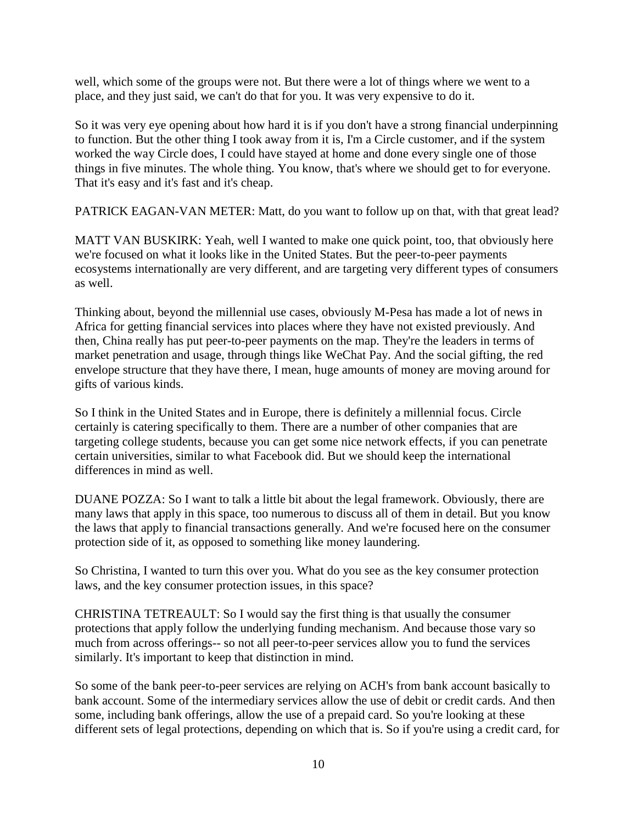well, which some of the groups were not. But there were a lot of things where we went to a place, and they just said, we can't do that for you. It was very expensive to do it.

So it was very eye opening about how hard it is if you don't have a strong financial underpinning to function. But the other thing I took away from it is, I'm a Circle customer, and if the system worked the way Circle does, I could have stayed at home and done every single one of those things in five minutes. The whole thing. You know, that's where we should get to for everyone. That it's easy and it's fast and it's cheap.

PATRICK EAGAN-VAN METER: Matt, do you want to follow up on that, with that great lead?

MATT VAN BUSKIRK: Yeah, well I wanted to make one quick point, too, that obviously here we're focused on what it looks like in the United States. But the peer-to-peer payments ecosystems internationally are very different, and are targeting very different types of consumers as well.

Thinking about, beyond the millennial use cases, obviously M-Pesa has made a lot of news in Africa for getting financial services into places where they have not existed previously. And then, China really has put peer-to-peer payments on the map. They're the leaders in terms of market penetration and usage, through things like WeChat Pay. And the social gifting, the red envelope structure that they have there, I mean, huge amounts of money are moving around for gifts of various kinds.

So I think in the United States and in Europe, there is definitely a millennial focus. Circle certainly is catering specifically to them. There are a number of other companies that are targeting college students, because you can get some nice network effects, if you can penetrate certain universities, similar to what Facebook did. But we should keep the international differences in mind as well.

DUANE POZZA: So I want to talk a little bit about the legal framework. Obviously, there are many laws that apply in this space, too numerous to discuss all of them in detail. But you know the laws that apply to financial transactions generally. And we're focused here on the consumer protection side of it, as opposed to something like money laundering.

So Christina, I wanted to turn this over you. What do you see as the key consumer protection laws, and the key consumer protection issues, in this space?

CHRISTINA TETREAULT: So I would say the first thing is that usually the consumer protections that apply follow the underlying funding mechanism. And because those vary so much from across offerings-- so not all peer-to-peer services allow you to fund the services similarly. It's important to keep that distinction in mind.

So some of the bank peer-to-peer services are relying on ACH's from bank account basically to bank account. Some of the intermediary services allow the use of debit or credit cards. And then some, including bank offerings, allow the use of a prepaid card. So you're looking at these different sets of legal protections, depending on which that is. So if you're using a credit card, for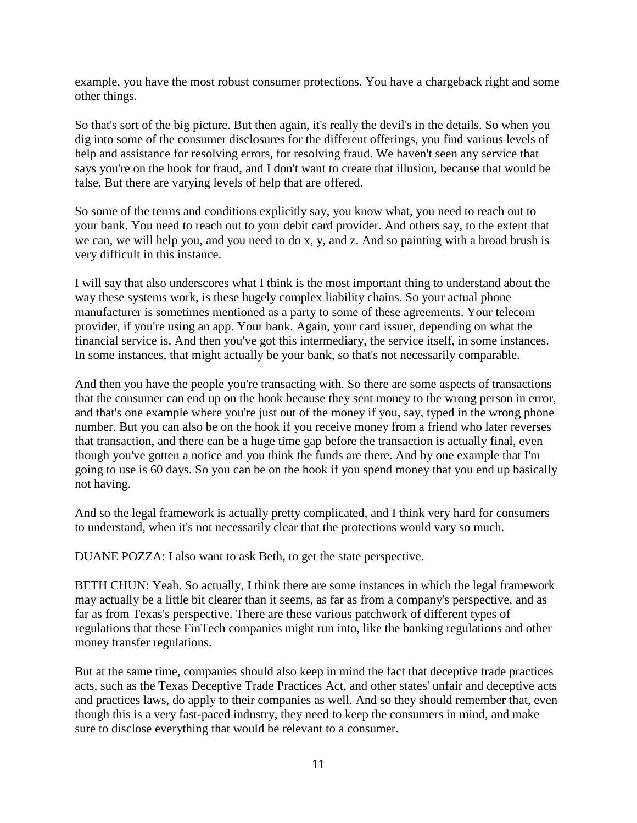example, you have the most robust consumer protections. You have a chargeback right and some other things.

So that's sort of the big picture. But then again, it's really the devil's in the details. So when you dig into some of the consumer disclosures for the different offerings, you find various levels of help and assistance for resolving errors, for resolving fraud. We haven't seen any service that says you're on the hook for fraud, and I don't want to create that illusion, because that would be false. But there are varying levels of help that are offered.

So some of the terms and conditions explicitly say, you know what, you need to reach out to your bank. You need to reach out to your debit card provider. And others say, to the extent that we can, we will help you, and you need to do x, y, and z. And so painting with a broad brush is very difficult in this instance.

I will say that also underscores what I think is the most important thing to understand about the way these systems work, is these hugely complex liability chains. So your actual phone manufacturer is sometimes mentioned as a party to some of these agreements. Your telecom provider, if you're using an app. Your bank. Again, your card issuer, depending on what the financial service is. And then you've got this intermediary, the service itself, in some instances. In some instances, that might actually be your bank, so that's not necessarily comparable.

And then you have the people you're transacting with. So there are some aspects of transactions that the consumer can end up on the hook because they sent money to the wrong person in error, and that's one example where you're just out of the money if you, say, typed in the wrong phone number. But you can also be on the hook if you receive money from a friend who later reverses that transaction, and there can be a huge time gap before the transaction is actually final, even though you've gotten a notice and you think the funds are there. And by one example that I'm going to use is 60 days. So you can be on the hook if you spend money that you end up basically not having.

And so the legal framework is actually pretty complicated, and I think very hard for consumers to understand, when it's not necessarily clear that the protections would vary so much.

DUANE POZZA: I also want to ask Beth, to get the state perspective.

BETH CHUN: Yeah. So actually, I think there are some instances in which the legal framework may actually be a little bit clearer than it seems, as far as from a company's perspective, and as far as from Texas's perspective. There are these various patchwork of different types of regulations that these FinTech companies might run into, like the banking regulations and other money transfer regulations.

But at the same time, companies should also keep in mind the fact that deceptive trade practices acts, such as the Texas Deceptive Trade Practices Act, and other states' unfair and deceptive acts and practices laws, do apply to their companies as well. And so they should remember that, even though this is a very fast-paced industry, they need to keep the consumers in mind, and make sure to disclose everything that would be relevant to a consumer.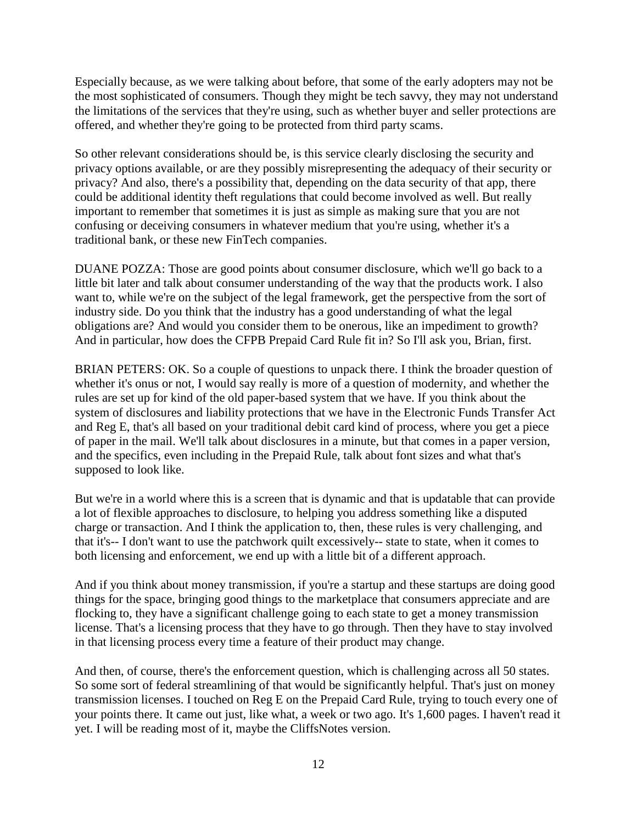Especially because, as we were talking about before, that some of the early adopters may not be the most sophisticated of consumers. Though they might be tech savvy, they may not understand the limitations of the services that they're using, such as whether buyer and seller protections are offered, and whether they're going to be protected from third party scams.

So other relevant considerations should be, is this service clearly disclosing the security and privacy options available, or are they possibly misrepresenting the adequacy of their security or privacy? And also, there's a possibility that, depending on the data security of that app, there could be additional identity theft regulations that could become involved as well. But really important to remember that sometimes it is just as simple as making sure that you are not confusing or deceiving consumers in whatever medium that you're using, whether it's a traditional bank, or these new FinTech companies.

DUANE POZZA: Those are good points about consumer disclosure, which we'll go back to a little bit later and talk about consumer understanding of the way that the products work. I also want to, while we're on the subject of the legal framework, get the perspective from the sort of industry side. Do you think that the industry has a good understanding of what the legal obligations are? And would you consider them to be onerous, like an impediment to growth? And in particular, how does the CFPB Prepaid Card Rule fit in? So I'll ask you, Brian, first.

BRIAN PETERS: OK. So a couple of questions to unpack there. I think the broader question of whether it's onus or not, I would say really is more of a question of modernity, and whether the rules are set up for kind of the old paper-based system that we have. If you think about the system of disclosures and liability protections that we have in the Electronic Funds Transfer Act and Reg E, that's all based on your traditional debit card kind of process, where you get a piece of paper in the mail. We'll talk about disclosures in a minute, but that comes in a paper version, and the specifics, even including in the Prepaid Rule, talk about font sizes and what that's supposed to look like.

But we're in a world where this is a screen that is dynamic and that is updatable that can provide a lot of flexible approaches to disclosure, to helping you address something like a disputed charge or transaction. And I think the application to, then, these rules is very challenging, and that it's-- I don't want to use the patchwork quilt excessively-- state to state, when it comes to both licensing and enforcement, we end up with a little bit of a different approach.

And if you think about money transmission, if you're a startup and these startups are doing good things for the space, bringing good things to the marketplace that consumers appreciate and are flocking to, they have a significant challenge going to each state to get a money transmission license. That's a licensing process that they have to go through. Then they have to stay involved in that licensing process every time a feature of their product may change.

And then, of course, there's the enforcement question, which is challenging across all 50 states. So some sort of federal streamlining of that would be significantly helpful. That's just on money transmission licenses. I touched on Reg E on the Prepaid Card Rule, trying to touch every one of your points there. It came out just, like what, a week or two ago. It's 1,600 pages. I haven't read it yet. I will be reading most of it, maybe the CliffsNotes version.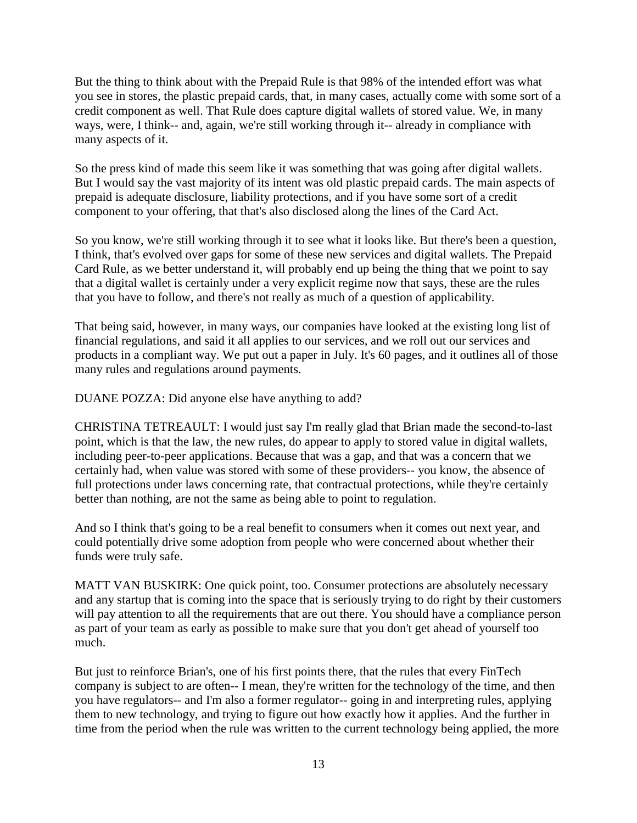But the thing to think about with the Prepaid Rule is that 98% of the intended effort was what you see in stores, the plastic prepaid cards, that, in many cases, actually come with some sort of a credit component as well. That Rule does capture digital wallets of stored value. We, in many ways, were, I think-- and, again, we're still working through it-- already in compliance with many aspects of it.

So the press kind of made this seem like it was something that was going after digital wallets. But I would say the vast majority of its intent was old plastic prepaid cards. The main aspects of prepaid is adequate disclosure, liability protections, and if you have some sort of a credit component to your offering, that that's also disclosed along the lines of the Card Act.

So you know, we're still working through it to see what it looks like. But there's been a question, I think, that's evolved over gaps for some of these new services and digital wallets. The Prepaid Card Rule, as we better understand it, will probably end up being the thing that we point to say that a digital wallet is certainly under a very explicit regime now that says, these are the rules that you have to follow, and there's not really as much of a question of applicability.

That being said, however, in many ways, our companies have looked at the existing long list of financial regulations, and said it all applies to our services, and we roll out our services and products in a compliant way. We put out a paper in July. It's 60 pages, and it outlines all of those many rules and regulations around payments.

DUANE POZZA: Did anyone else have anything to add?

CHRISTINA TETREAULT: I would just say I'm really glad that Brian made the second-to-last point, which is that the law, the new rules, do appear to apply to stored value in digital wallets, including peer-to-peer applications. Because that was a gap, and that was a concern that we certainly had, when value was stored with some of these providers-- you know, the absence of full protections under laws concerning rate, that contractual protections, while they're certainly better than nothing, are not the same as being able to point to regulation.

And so I think that's going to be a real benefit to consumers when it comes out next year, and could potentially drive some adoption from people who were concerned about whether their funds were truly safe.

MATT VAN BUSKIRK: One quick point, too. Consumer protections are absolutely necessary and any startup that is coming into the space that is seriously trying to do right by their customers will pay attention to all the requirements that are out there. You should have a compliance person as part of your team as early as possible to make sure that you don't get ahead of yourself too much.

But just to reinforce Brian's, one of his first points there, that the rules that every FinTech company is subject to are often-- I mean, they're written for the technology of the time, and then you have regulators-- and I'm also a former regulator-- going in and interpreting rules, applying them to new technology, and trying to figure out how exactly how it applies. And the further in time from the period when the rule was written to the current technology being applied, the more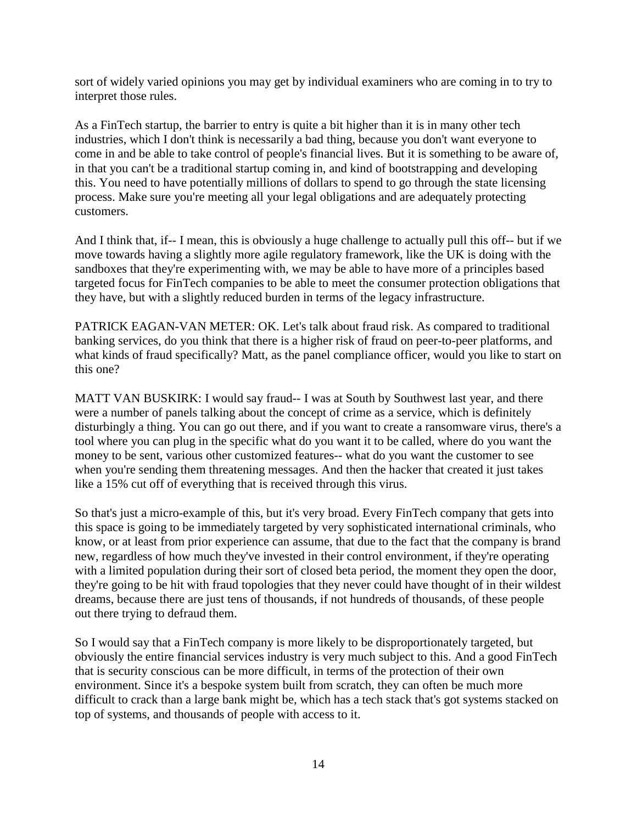sort of widely varied opinions you may get by individual examiners who are coming in to try to interpret those rules.

As a FinTech startup, the barrier to entry is quite a bit higher than it is in many other tech industries, which I don't think is necessarily a bad thing, because you don't want everyone to come in and be able to take control of people's financial lives. But it is something to be aware of, in that you can't be a traditional startup coming in, and kind of bootstrapping and developing this. You need to have potentially millions of dollars to spend to go through the state licensing process. Make sure you're meeting all your legal obligations and are adequately protecting customers.

And I think that, if-- I mean, this is obviously a huge challenge to actually pull this off-- but if we move towards having a slightly more agile regulatory framework, like the UK is doing with the sandboxes that they're experimenting with, we may be able to have more of a principles based targeted focus for FinTech companies to be able to meet the consumer protection obligations that they have, but with a slightly reduced burden in terms of the legacy infrastructure.

PATRICK EAGAN-VAN METER: OK. Let's talk about fraud risk. As compared to traditional banking services, do you think that there is a higher risk of fraud on peer-to-peer platforms, and what kinds of fraud specifically? Matt, as the panel compliance officer, would you like to start on this one?

MATT VAN BUSKIRK: I would say fraud-- I was at South by Southwest last year, and there were a number of panels talking about the concept of crime as a service, which is definitely disturbingly a thing. You can go out there, and if you want to create a ransomware virus, there's a tool where you can plug in the specific what do you want it to be called, where do you want the money to be sent, various other customized features-- what do you want the customer to see when you're sending them threatening messages. And then the hacker that created it just takes like a 15% cut off of everything that is received through this virus.

So that's just a micro-example of this, but it's very broad. Every FinTech company that gets into this space is going to be immediately targeted by very sophisticated international criminals, who know, or at least from prior experience can assume, that due to the fact that the company is brand new, regardless of how much they've invested in their control environment, if they're operating with a limited population during their sort of closed beta period, the moment they open the door, they're going to be hit with fraud topologies that they never could have thought of in their wildest dreams, because there are just tens of thousands, if not hundreds of thousands, of these people out there trying to defraud them.

So I would say that a FinTech company is more likely to be disproportionately targeted, but obviously the entire financial services industry is very much subject to this. And a good FinTech that is security conscious can be more difficult, in terms of the protection of their own environment. Since it's a bespoke system built from scratch, they can often be much more difficult to crack than a large bank might be, which has a tech stack that's got systems stacked on top of systems, and thousands of people with access to it.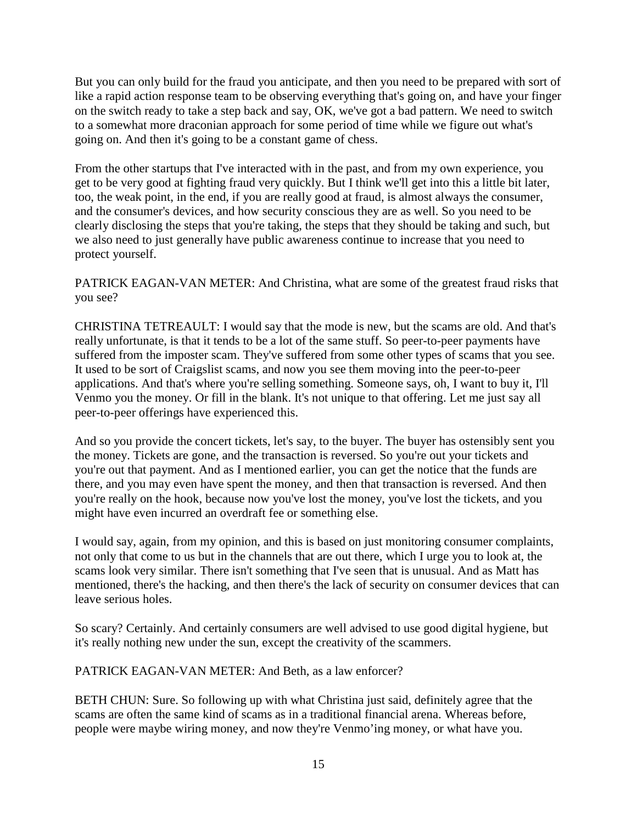But you can only build for the fraud you anticipate, and then you need to be prepared with sort of like a rapid action response team to be observing everything that's going on, and have your finger on the switch ready to take a step back and say, OK, we've got a bad pattern. We need to switch to a somewhat more draconian approach for some period of time while we figure out what's going on. And then it's going to be a constant game of chess.

From the other startups that I've interacted with in the past, and from my own experience, you get to be very good at fighting fraud very quickly. But I think we'll get into this a little bit later, too, the weak point, in the end, if you are really good at fraud, is almost always the consumer, and the consumer's devices, and how security conscious they are as well. So you need to be clearly disclosing the steps that you're taking, the steps that they should be taking and such, but we also need to just generally have public awareness continue to increase that you need to protect yourself.

PATRICK EAGAN-VAN METER: And Christina, what are some of the greatest fraud risks that you see?

CHRISTINA TETREAULT: I would say that the mode is new, but the scams are old. And that's really unfortunate, is that it tends to be a lot of the same stuff. So peer-to-peer payments have suffered from the imposter scam. They've suffered from some other types of scams that you see. It used to be sort of Craigslist scams, and now you see them moving into the peer-to-peer applications. And that's where you're selling something. Someone says, oh, I want to buy it, I'll Venmo you the money. Or fill in the blank. It's not unique to that offering. Let me just say all peer-to-peer offerings have experienced this.

And so you provide the concert tickets, let's say, to the buyer. The buyer has ostensibly sent you the money. Tickets are gone, and the transaction is reversed. So you're out your tickets and you're out that payment. And as I mentioned earlier, you can get the notice that the funds are there, and you may even have spent the money, and then that transaction is reversed. And then you're really on the hook, because now you've lost the money, you've lost the tickets, and you might have even incurred an overdraft fee or something else.

I would say, again, from my opinion, and this is based on just monitoring consumer complaints, not only that come to us but in the channels that are out there, which I urge you to look at, the scams look very similar. There isn't something that I've seen that is unusual. And as Matt has mentioned, there's the hacking, and then there's the lack of security on consumer devices that can leave serious holes.

So scary? Certainly. And certainly consumers are well advised to use good digital hygiene, but it's really nothing new under the sun, except the creativity of the scammers.

PATRICK EAGAN-VAN METER: And Beth, as a law enforcer?

BETH CHUN: Sure. So following up with what Christina just said, definitely agree that the scams are often the same kind of scams as in a traditional financial arena. Whereas before, people were maybe wiring money, and now they're Venmo'ing money, or what have you.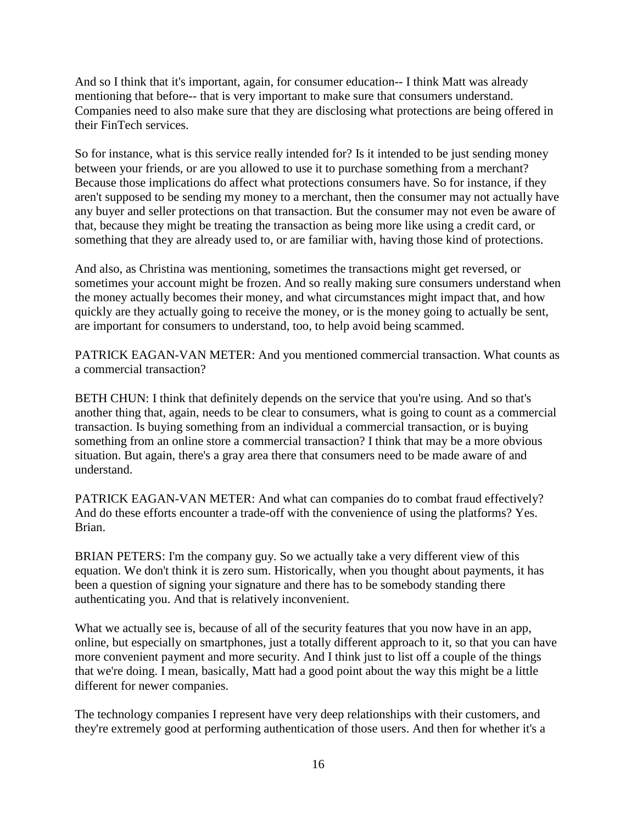And so I think that it's important, again, for consumer education-- I think Matt was already mentioning that before-- that is very important to make sure that consumers understand. Companies need to also make sure that they are disclosing what protections are being offered in their FinTech services.

So for instance, what is this service really intended for? Is it intended to be just sending money between your friends, or are you allowed to use it to purchase something from a merchant? Because those implications do affect what protections consumers have. So for instance, if they aren't supposed to be sending my money to a merchant, then the consumer may not actually have any buyer and seller protections on that transaction. But the consumer may not even be aware of that, because they might be treating the transaction as being more like using a credit card, or something that they are already used to, or are familiar with, having those kind of protections.

And also, as Christina was mentioning, sometimes the transactions might get reversed, or sometimes your account might be frozen. And so really making sure consumers understand when the money actually becomes their money, and what circumstances might impact that, and how quickly are they actually going to receive the money, or is the money going to actually be sent, are important for consumers to understand, too, to help avoid being scammed.

PATRICK EAGAN-VAN METER: And you mentioned commercial transaction. What counts as a commercial transaction?

BETH CHUN: I think that definitely depends on the service that you're using. And so that's another thing that, again, needs to be clear to consumers, what is going to count as a commercial transaction. Is buying something from an individual a commercial transaction, or is buying something from an online store a commercial transaction? I think that may be a more obvious situation. But again, there's a gray area there that consumers need to be made aware of and understand.

PATRICK EAGAN-VAN METER: And what can companies do to combat fraud effectively? And do these efforts encounter a trade-off with the convenience of using the platforms? Yes. Brian.

BRIAN PETERS: I'm the company guy. So we actually take a very different view of this equation. We don't think it is zero sum. Historically, when you thought about payments, it has been a question of signing your signature and there has to be somebody standing there authenticating you. And that is relatively inconvenient.

What we actually see is, because of all of the security features that you now have in an app, online, but especially on smartphones, just a totally different approach to it, so that you can have more convenient payment and more security. And I think just to list off a couple of the things that we're doing. I mean, basically, Matt had a good point about the way this might be a little different for newer companies.

The technology companies I represent have very deep relationships with their customers, and they're extremely good at performing authentication of those users. And then for whether it's a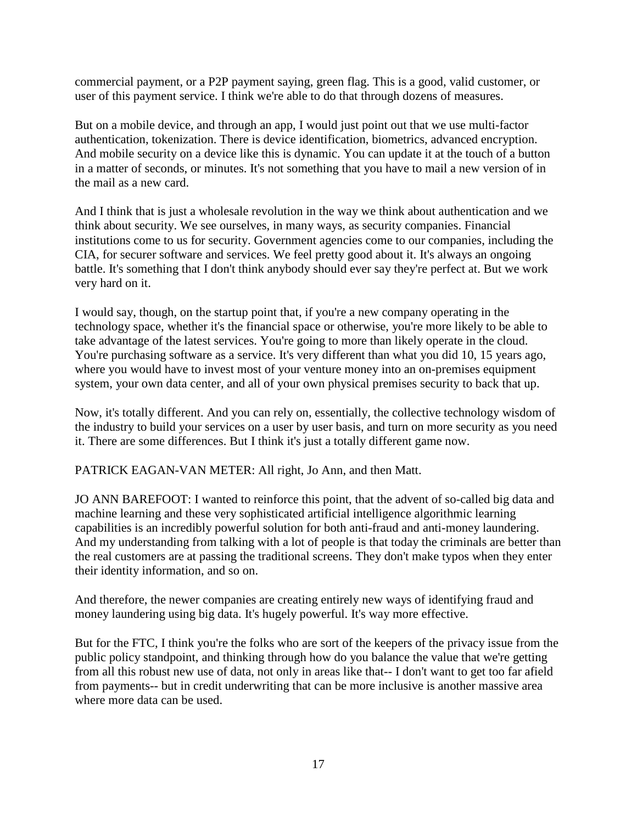commercial payment, or a P2P payment saying, green flag. This is a good, valid customer, or user of this payment service. I think we're able to do that through dozens of measures.

But on a mobile device, and through an app, I would just point out that we use multi-factor authentication, tokenization. There is device identification, biometrics, advanced encryption. And mobile security on a device like this is dynamic. You can update it at the touch of a button in a matter of seconds, or minutes. It's not something that you have to mail a new version of in the mail as a new card.

And I think that is just a wholesale revolution in the way we think about authentication and we think about security. We see ourselves, in many ways, as security companies. Financial institutions come to us for security. Government agencies come to our companies, including the CIA, for securer software and services. We feel pretty good about it. It's always an ongoing battle. It's something that I don't think anybody should ever say they're perfect at. But we work very hard on it.

I would say, though, on the startup point that, if you're a new company operating in the technology space, whether it's the financial space or otherwise, you're more likely to be able to take advantage of the latest services. You're going to more than likely operate in the cloud. You're purchasing software as a service. It's very different than what you did 10, 15 years ago, where you would have to invest most of your venture money into an on-premises equipment system, your own data center, and all of your own physical premises security to back that up.

Now, it's totally different. And you can rely on, essentially, the collective technology wisdom of the industry to build your services on a user by user basis, and turn on more security as you need it. There are some differences. But I think it's just a totally different game now.

PATRICK EAGAN-VAN METER: All right, Jo Ann, and then Matt.

JO ANN BAREFOOT: I wanted to reinforce this point, that the advent of so-called big data and machine learning and these very sophisticated artificial intelligence algorithmic learning capabilities is an incredibly powerful solution for both anti-fraud and anti-money laundering. And my understanding from talking with a lot of people is that today the criminals are better than the real customers are at passing the traditional screens. They don't make typos when they enter their identity information, and so on.

And therefore, the newer companies are creating entirely new ways of identifying fraud and money laundering using big data. It's hugely powerful. It's way more effective.

But for the FTC, I think you're the folks who are sort of the keepers of the privacy issue from the public policy standpoint, and thinking through how do you balance the value that we're getting from all this robust new use of data, not only in areas like that-- I don't want to get too far afield from payments-- but in credit underwriting that can be more inclusive is another massive area where more data can be used.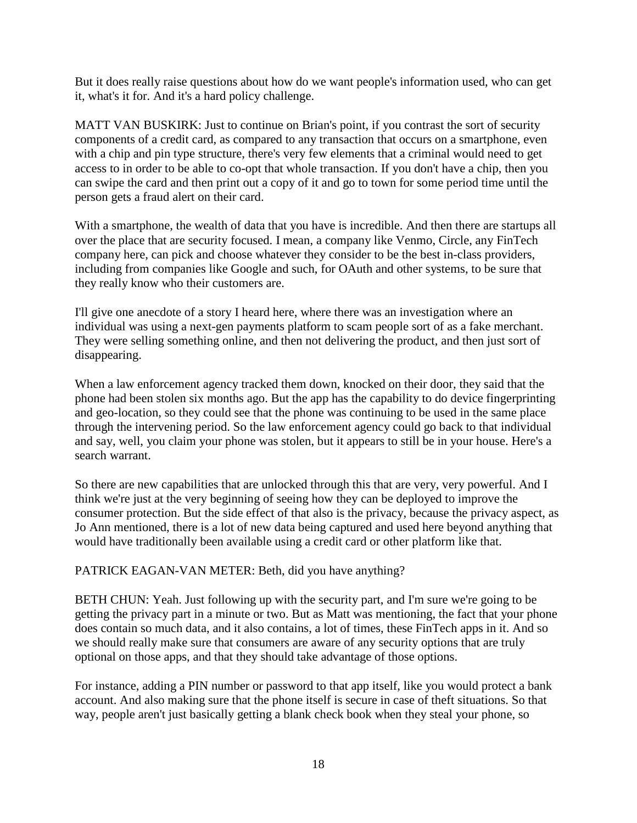But it does really raise questions about how do we want people's information used, who can get it, what's it for. And it's a hard policy challenge.

MATT VAN BUSKIRK: Just to continue on Brian's point, if you contrast the sort of security components of a credit card, as compared to any transaction that occurs on a smartphone, even with a chip and pin type structure, there's very few elements that a criminal would need to get access to in order to be able to co-opt that whole transaction. If you don't have a chip, then you can swipe the card and then print out a copy of it and go to town for some period time until the person gets a fraud alert on their card.

With a smartphone, the wealth of data that you have is incredible. And then there are startups all over the place that are security focused. I mean, a company like Venmo, Circle, any FinTech company here, can pick and choose whatever they consider to be the best in-class providers, including from companies like Google and such, for OAuth and other systems, to be sure that they really know who their customers are.

I'll give one anecdote of a story I heard here, where there was an investigation where an individual was using a next-gen payments platform to scam people sort of as a fake merchant. They were selling something online, and then not delivering the product, and then just sort of disappearing.

When a law enforcement agency tracked them down, knocked on their door, they said that the phone had been stolen six months ago. But the app has the capability to do device fingerprinting and geo-location, so they could see that the phone was continuing to be used in the same place through the intervening period. So the law enforcement agency could go back to that individual and say, well, you claim your phone was stolen, but it appears to still be in your house. Here's a search warrant.

So there are new capabilities that are unlocked through this that are very, very powerful. And I think we're just at the very beginning of seeing how they can be deployed to improve the consumer protection. But the side effect of that also is the privacy, because the privacy aspect, as Jo Ann mentioned, there is a lot of new data being captured and used here beyond anything that would have traditionally been available using a credit card or other platform like that.

### PATRICK EAGAN-VAN METER: Beth, did you have anything?

BETH CHUN: Yeah. Just following up with the security part, and I'm sure we're going to be getting the privacy part in a minute or two. But as Matt was mentioning, the fact that your phone does contain so much data, and it also contains, a lot of times, these FinTech apps in it. And so we should really make sure that consumers are aware of any security options that are truly optional on those apps, and that they should take advantage of those options.

For instance, adding a PIN number or password to that app itself, like you would protect a bank account. And also making sure that the phone itself is secure in case of theft situations. So that way, people aren't just basically getting a blank check book when they steal your phone, so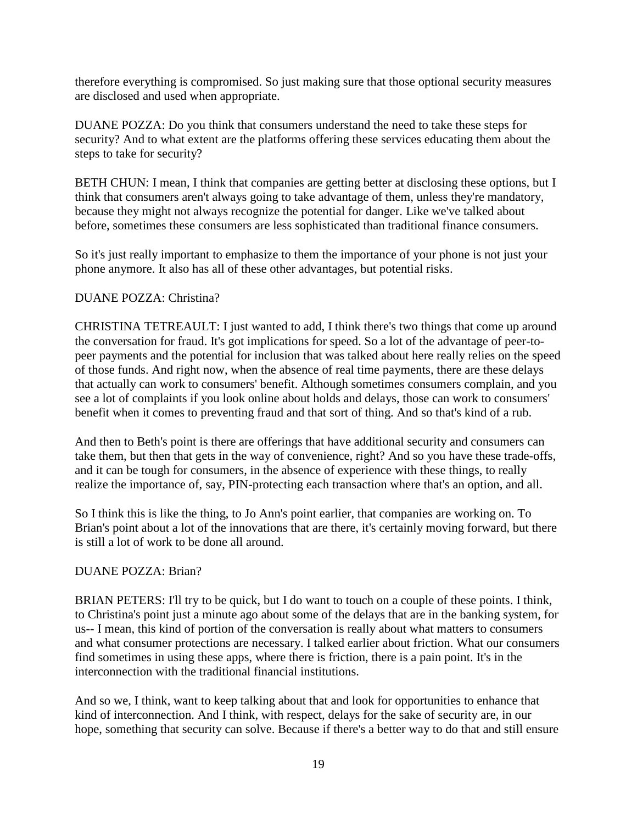therefore everything is compromised. So just making sure that those optional security measures are disclosed and used when appropriate.

DUANE POZZA: Do you think that consumers understand the need to take these steps for security? And to what extent are the platforms offering these services educating them about the steps to take for security?

BETH CHUN: I mean, I think that companies are getting better at disclosing these options, but I think that consumers aren't always going to take advantage of them, unless they're mandatory, because they might not always recognize the potential for danger. Like we've talked about before, sometimes these consumers are less sophisticated than traditional finance consumers.

So it's just really important to emphasize to them the importance of your phone is not just your phone anymore. It also has all of these other advantages, but potential risks.

# DUANE POZZA: Christina?

CHRISTINA TETREAULT: I just wanted to add, I think there's two things that come up around the conversation for fraud. It's got implications for speed. So a lot of the advantage of peer-topeer payments and the potential for inclusion that was talked about here really relies on the speed of those funds. And right now, when the absence of real time payments, there are these delays that actually can work to consumers' benefit. Although sometimes consumers complain, and you see a lot of complaints if you look online about holds and delays, those can work to consumers' benefit when it comes to preventing fraud and that sort of thing. And so that's kind of a rub.

And then to Beth's point is there are offerings that have additional security and consumers can take them, but then that gets in the way of convenience, right? And so you have these trade-offs, and it can be tough for consumers, in the absence of experience with these things, to really realize the importance of, say, PIN-protecting each transaction where that's an option, and all.

So I think this is like the thing, to Jo Ann's point earlier, that companies are working on. To Brian's point about a lot of the innovations that are there, it's certainly moving forward, but there is still a lot of work to be done all around.

# DUANE POZZA: Brian?

BRIAN PETERS: I'll try to be quick, but I do want to touch on a couple of these points. I think, to Christina's point just a minute ago about some of the delays that are in the banking system, for us-- I mean, this kind of portion of the conversation is really about what matters to consumers and what consumer protections are necessary. I talked earlier about friction. What our consumers find sometimes in using these apps, where there is friction, there is a pain point. It's in the interconnection with the traditional financial institutions.

And so we, I think, want to keep talking about that and look for opportunities to enhance that kind of interconnection. And I think, with respect, delays for the sake of security are, in our hope, something that security can solve. Because if there's a better way to do that and still ensure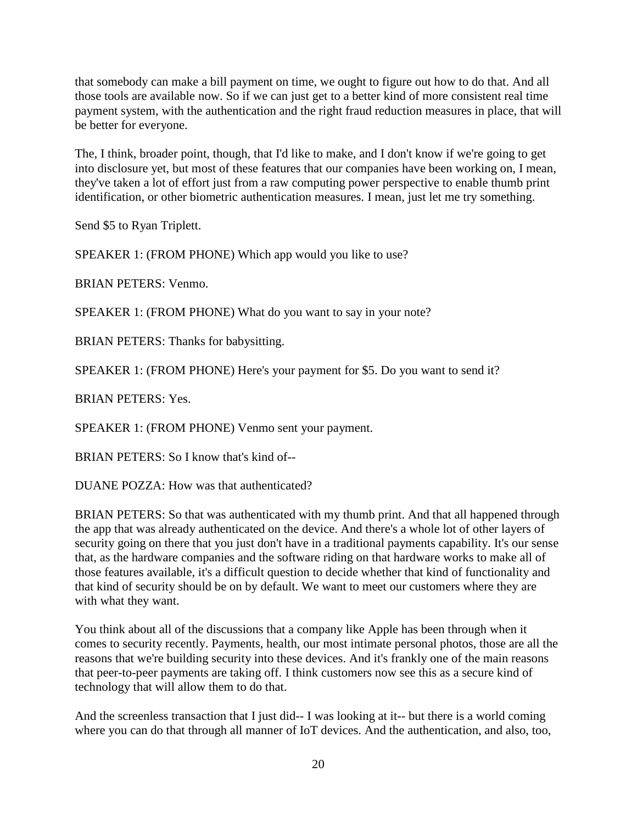that somebody can make a bill payment on time, we ought to figure out how to do that. And all those tools are available now. So if we can just get to a better kind of more consistent real time payment system, with the authentication and the right fraud reduction measures in place, that will be better for everyone.

The, I think, broader point, though, that I'd like to make, and I don't know if we're going to get into disclosure yet, but most of these features that our companies have been working on, I mean, they've taken a lot of effort just from a raw computing power perspective to enable thumb print identification, or other biometric authentication measures. I mean, just let me try something.

Send \$5 to Ryan Triplett.

SPEAKER 1: (FROM PHONE) Which app would you like to use?

BRIAN PETERS: Venmo.

SPEAKER 1: (FROM PHONE) What do you want to say in your note?

BRIAN PETERS: Thanks for babysitting.

SPEAKER 1: (FROM PHONE) Here's your payment for \$5. Do you want to send it?

BRIAN PETERS: Yes.

SPEAKER 1: (FROM PHONE) Venmo sent your payment.

BRIAN PETERS: So I know that's kind of--

DUANE POZZA: How was that authenticated?

BRIAN PETERS: So that was authenticated with my thumb print. And that all happened through the app that was already authenticated on the device. And there's a whole lot of other layers of security going on there that you just don't have in a traditional payments capability. It's our sense that, as the hardware companies and the software riding on that hardware works to make all of those features available, it's a difficult question to decide whether that kind of functionality and that kind of security should be on by default. We want to meet our customers where they are with what they want.

You think about all of the discussions that a company like Apple has been through when it comes to security recently. Payments, health, our most intimate personal photos, those are all the reasons that we're building security into these devices. And it's frankly one of the main reasons that peer-to-peer payments are taking off. I think customers now see this as a secure kind of technology that will allow them to do that.

And the screenless transaction that I just did-- I was looking at it-- but there is a world coming where you can do that through all manner of IoT devices. And the authentication, and also, too,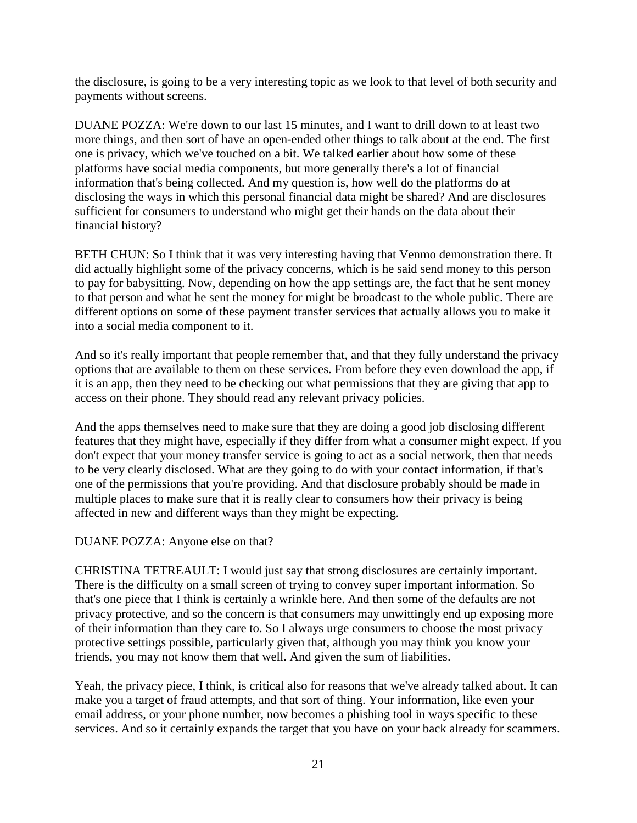the disclosure, is going to be a very interesting topic as we look to that level of both security and payments without screens.

DUANE POZZA: We're down to our last 15 minutes, and I want to drill down to at least two more things, and then sort of have an open-ended other things to talk about at the end. The first one is privacy, which we've touched on a bit. We talked earlier about how some of these platforms have social media components, but more generally there's a lot of financial information that's being collected. And my question is, how well do the platforms do at disclosing the ways in which this personal financial data might be shared? And are disclosures sufficient for consumers to understand who might get their hands on the data about their financial history?

BETH CHUN: So I think that it was very interesting having that Venmo demonstration there. It did actually highlight some of the privacy concerns, which is he said send money to this person to pay for babysitting. Now, depending on how the app settings are, the fact that he sent money to that person and what he sent the money for might be broadcast to the whole public. There are different options on some of these payment transfer services that actually allows you to make it into a social media component to it.

And so it's really important that people remember that, and that they fully understand the privacy options that are available to them on these services. From before they even download the app, if it is an app, then they need to be checking out what permissions that they are giving that app to access on their phone. They should read any relevant privacy policies.

And the apps themselves need to make sure that they are doing a good job disclosing different features that they might have, especially if they differ from what a consumer might expect. If you don't expect that your money transfer service is going to act as a social network, then that needs to be very clearly disclosed. What are they going to do with your contact information, if that's one of the permissions that you're providing. And that disclosure probably should be made in multiple places to make sure that it is really clear to consumers how their privacy is being affected in new and different ways than they might be expecting.

### DUANE POZZA: Anyone else on that?

CHRISTINA TETREAULT: I would just say that strong disclosures are certainly important. There is the difficulty on a small screen of trying to convey super important information. So that's one piece that I think is certainly a wrinkle here. And then some of the defaults are not privacy protective, and so the concern is that consumers may unwittingly end up exposing more of their information than they care to. So I always urge consumers to choose the most privacy protective settings possible, particularly given that, although you may think you know your friends, you may not know them that well. And given the sum of liabilities.

Yeah, the privacy piece, I think, is critical also for reasons that we've already talked about. It can make you a target of fraud attempts, and that sort of thing. Your information, like even your email address, or your phone number, now becomes a phishing tool in ways specific to these services. And so it certainly expands the target that you have on your back already for scammers.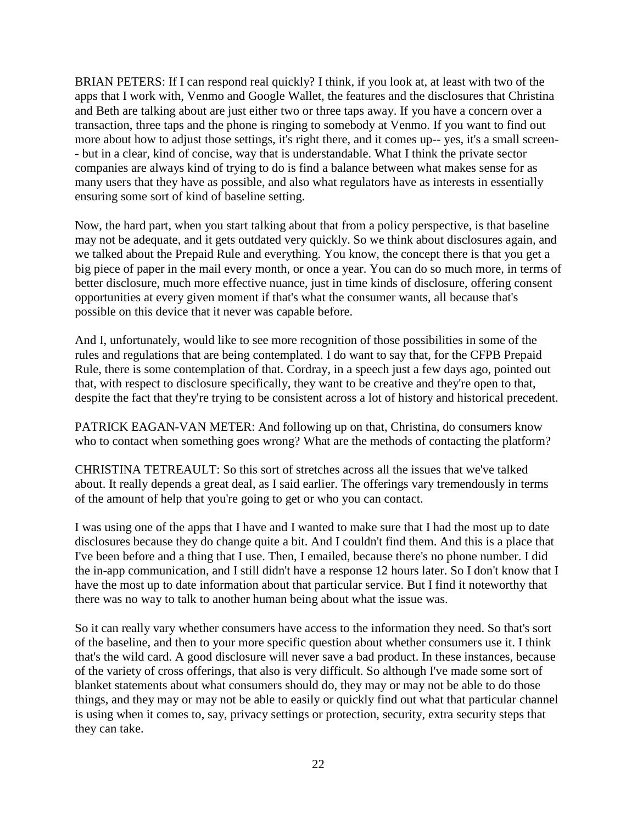BRIAN PETERS: If I can respond real quickly? I think, if you look at, at least with two of the apps that I work with, Venmo and Google Wallet, the features and the disclosures that Christina and Beth are talking about are just either two or three taps away. If you have a concern over a transaction, three taps and the phone is ringing to somebody at Venmo. If you want to find out more about how to adjust those settings, it's right there, and it comes up-- yes, it's a small screen- - but in a clear, kind of concise, way that is understandable. What I think the private sector companies are always kind of trying to do is find a balance between what makes sense for as many users that they have as possible, and also what regulators have as interests in essentially ensuring some sort of kind of baseline setting.

Now, the hard part, when you start talking about that from a policy perspective, is that baseline may not be adequate, and it gets outdated very quickly. So we think about disclosures again, and we talked about the Prepaid Rule and everything. You know, the concept there is that you get a big piece of paper in the mail every month, or once a year. You can do so much more, in terms of better disclosure, much more effective nuance, just in time kinds of disclosure, offering consent opportunities at every given moment if that's what the consumer wants, all because that's possible on this device that it never was capable before.

And I, unfortunately, would like to see more recognition of those possibilities in some of the rules and regulations that are being contemplated. I do want to say that, for the CFPB Prepaid Rule, there is some contemplation of that. Cordray, in a speech just a few days ago, pointed out that, with respect to disclosure specifically, they want to be creative and they're open to that, despite the fact that they're trying to be consistent across a lot of history and historical precedent.

PATRICK EAGAN-VAN METER: And following up on that, Christina, do consumers know who to contact when something goes wrong? What are the methods of contacting the platform?

CHRISTINA TETREAULT: So this sort of stretches across all the issues that we've talked about. It really depends a great deal, as I said earlier. The offerings vary tremendously in terms of the amount of help that you're going to get or who you can contact.

I was using one of the apps that I have and I wanted to make sure that I had the most up to date disclosures because they do change quite a bit. And I couldn't find them. And this is a place that I've been before and a thing that I use. Then, I emailed, because there's no phone number. I did the in-app communication, and I still didn't have a response 12 hours later. So I don't know that I have the most up to date information about that particular service. But I find it noteworthy that there was no way to talk to another human being about what the issue was.

So it can really vary whether consumers have access to the information they need. So that's sort of the baseline, and then to your more specific question about whether consumers use it. I think that's the wild card. A good disclosure will never save a bad product. In these instances, because of the variety of cross offerings, that also is very difficult. So although I've made some sort of blanket statements about what consumers should do, they may or may not be able to do those things, and they may or may not be able to easily or quickly find out what that particular channel is using when it comes to, say, privacy settings or protection, security, extra security steps that they can take.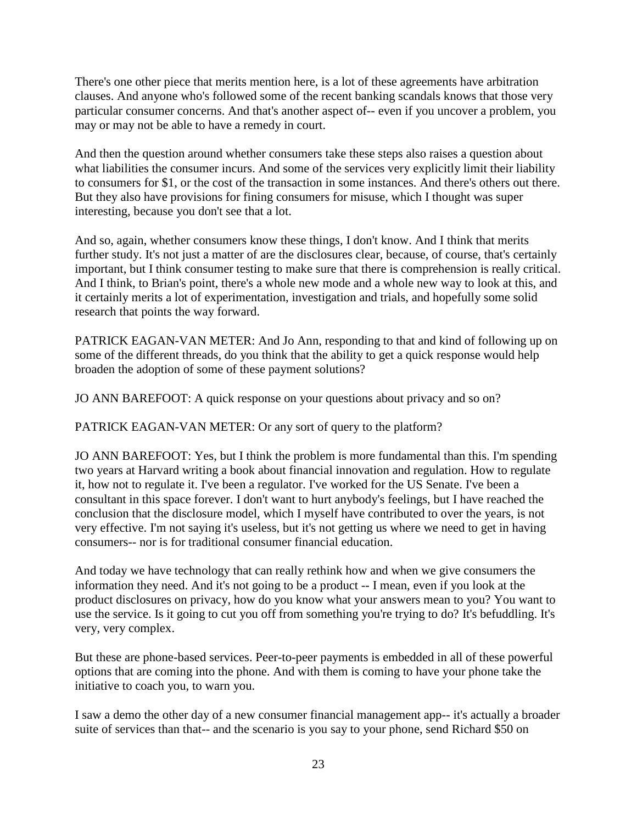There's one other piece that merits mention here, is a lot of these agreements have arbitration clauses. And anyone who's followed some of the recent banking scandals knows that those very particular consumer concerns. And that's another aspect of-- even if you uncover a problem, you may or may not be able to have a remedy in court.

And then the question around whether consumers take these steps also raises a question about what liabilities the consumer incurs. And some of the services very explicitly limit their liability to consumers for \$1, or the cost of the transaction in some instances. And there's others out there. But they also have provisions for fining consumers for misuse, which I thought was super interesting, because you don't see that a lot.

And so, again, whether consumers know these things, I don't know. And I think that merits further study. It's not just a matter of are the disclosures clear, because, of course, that's certainly important, but I think consumer testing to make sure that there is comprehension is really critical. And I think, to Brian's point, there's a whole new mode and a whole new way to look at this, and it certainly merits a lot of experimentation, investigation and trials, and hopefully some solid research that points the way forward.

PATRICK EAGAN-VAN METER: And Jo Ann, responding to that and kind of following up on some of the different threads, do you think that the ability to get a quick response would help broaden the adoption of some of these payment solutions?

JO ANN BAREFOOT: A quick response on your questions about privacy and so on?

PATRICK EAGAN-VAN METER: Or any sort of query to the platform?

JO ANN BAREFOOT: Yes, but I think the problem is more fundamental than this. I'm spending two years at Harvard writing a book about financial innovation and regulation. How to regulate it, how not to regulate it. I've been a regulator. I've worked for the US Senate. I've been a consultant in this space forever. I don't want to hurt anybody's feelings, but I have reached the conclusion that the disclosure model, which I myself have contributed to over the years, is not very effective. I'm not saying it's useless, but it's not getting us where we need to get in having consumers-- nor is for traditional consumer financial education.

And today we have technology that can really rethink how and when we give consumers the information they need. And it's not going to be a product -- I mean, even if you look at the product disclosures on privacy, how do you know what your answers mean to you? You want to use the service. Is it going to cut you off from something you're trying to do? It's befuddling. It's very, very complex.

But these are phone-based services. Peer-to-peer payments is embedded in all of these powerful options that are coming into the phone. And with them is coming to have your phone take the initiative to coach you, to warn you.

I saw a demo the other day of a new consumer financial management app-- it's actually a broader suite of services than that-- and the scenario is you say to your phone, send Richard \$50 on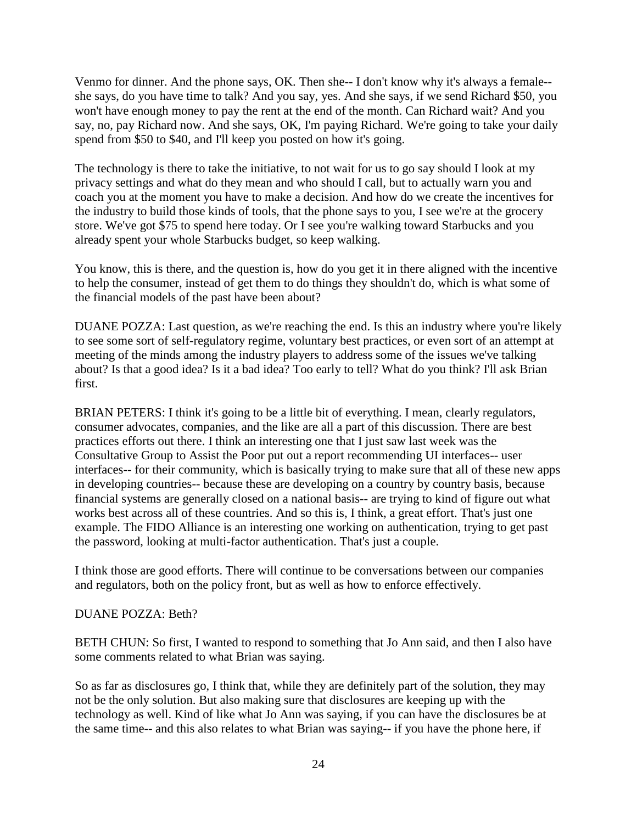Venmo for dinner. And the phone says, OK. Then she-- I don't know why it's always a female- she says, do you have time to talk? And you say, yes. And she says, if we send Richard \$50, you won't have enough money to pay the rent at the end of the month. Can Richard wait? And you say, no, pay Richard now. And she says, OK, I'm paying Richard. We're going to take your daily spend from \$50 to \$40, and I'll keep you posted on how it's going.

The technology is there to take the initiative, to not wait for us to go say should I look at my privacy settings and what do they mean and who should I call, but to actually warn you and coach you at the moment you have to make a decision. And how do we create the incentives for the industry to build those kinds of tools, that the phone says to you, I see we're at the grocery store. We've got \$75 to spend here today. Or I see you're walking toward Starbucks and you already spent your whole Starbucks budget, so keep walking.

You know, this is there, and the question is, how do you get it in there aligned with the incentive to help the consumer, instead of get them to do things they shouldn't do, which is what some of the financial models of the past have been about?

DUANE POZZA: Last question, as we're reaching the end. Is this an industry where you're likely to see some sort of self-regulatory regime, voluntary best practices, or even sort of an attempt at meeting of the minds among the industry players to address some of the issues we've talking about? Is that a good idea? Is it a bad idea? Too early to tell? What do you think? I'll ask Brian first.

BRIAN PETERS: I think it's going to be a little bit of everything. I mean, clearly regulators, consumer advocates, companies, and the like are all a part of this discussion. There are best practices efforts out there. I think an interesting one that I just saw last week was the Consultative Group to Assist the Poor put out a report recommending UI interfaces-- user interfaces-- for their community, which is basically trying to make sure that all of these new apps in developing countries-- because these are developing on a country by country basis, because financial systems are generally closed on a national basis-- are trying to kind of figure out what works best across all of these countries. And so this is, I think, a great effort. That's just one example. The FIDO Alliance is an interesting one working on authentication, trying to get past the password, looking at multi-factor authentication. That's just a couple.

I think those are good efforts. There will continue to be conversations between our companies and regulators, both on the policy front, but as well as how to enforce effectively.

### DUANE POZZA: Beth?

BETH CHUN: So first, I wanted to respond to something that Jo Ann said, and then I also have some comments related to what Brian was saying.

So as far as disclosures go, I think that, while they are definitely part of the solution, they may not be the only solution. But also making sure that disclosures are keeping up with the technology as well. Kind of like what Jo Ann was saying, if you can have the disclosures be at the same time-- and this also relates to what Brian was saying-- if you have the phone here, if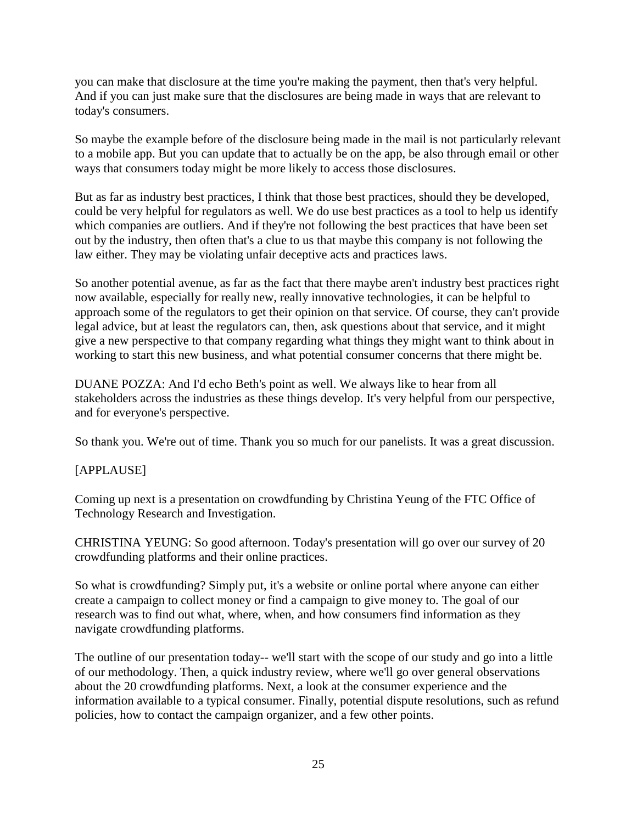you can make that disclosure at the time you're making the payment, then that's very helpful. And if you can just make sure that the disclosures are being made in ways that are relevant to today's consumers.

So maybe the example before of the disclosure being made in the mail is not particularly relevant to a mobile app. But you can update that to actually be on the app, be also through email or other ways that consumers today might be more likely to access those disclosures.

But as far as industry best practices, I think that those best practices, should they be developed, could be very helpful for regulators as well. We do use best practices as a tool to help us identify which companies are outliers. And if they're not following the best practices that have been set out by the industry, then often that's a clue to us that maybe this company is not following the law either. They may be violating unfair deceptive acts and practices laws.

So another potential avenue, as far as the fact that there maybe aren't industry best practices right now available, especially for really new, really innovative technologies, it can be helpful to approach some of the regulators to get their opinion on that service. Of course, they can't provide legal advice, but at least the regulators can, then, ask questions about that service, and it might give a new perspective to that company regarding what things they might want to think about in working to start this new business, and what potential consumer concerns that there might be.

DUANE POZZA: And I'd echo Beth's point as well. We always like to hear from all stakeholders across the industries as these things develop. It's very helpful from our perspective, and for everyone's perspective.

So thank you. We're out of time. Thank you so much for our panelists. It was a great discussion.

# [APPLAUSE]

Coming up next is a presentation on crowdfunding by Christina Yeung of the FTC Office of Technology Research and Investigation.

CHRISTINA YEUNG: So good afternoon. Today's presentation will go over our survey of 20 crowdfunding platforms and their online practices.

So what is crowdfunding? Simply put, it's a website or online portal where anyone can either create a campaign to collect money or find a campaign to give money to. The goal of our research was to find out what, where, when, and how consumers find information as they navigate crowdfunding platforms.

The outline of our presentation today-- we'll start with the scope of our study and go into a little of our methodology. Then, a quick industry review, where we'll go over general observations about the 20 crowdfunding platforms. Next, a look at the consumer experience and the information available to a typical consumer. Finally, potential dispute resolutions, such as refund policies, how to contact the campaign organizer, and a few other points.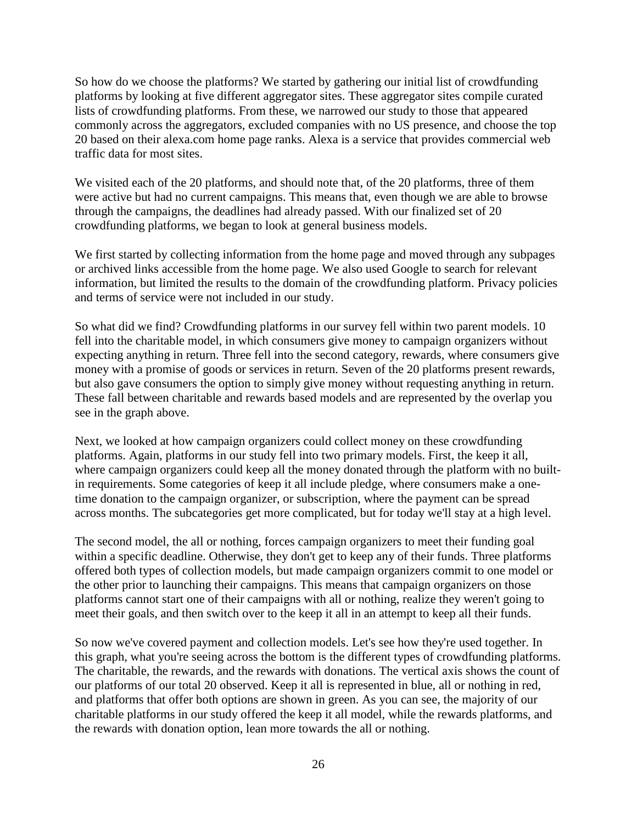So how do we choose the platforms? We started by gathering our initial list of crowdfunding platforms by looking at five different aggregator sites. These aggregator sites compile curated lists of crowdfunding platforms. From these, we narrowed our study to those that appeared commonly across the aggregators, excluded companies with no US presence, and choose the top 20 based on their alexa.com home page ranks. Alexa is a service that provides commercial web traffic data for most sites.

We visited each of the 20 platforms, and should note that, of the 20 platforms, three of them were active but had no current campaigns. This means that, even though we are able to browse through the campaigns, the deadlines had already passed. With our finalized set of 20 crowdfunding platforms, we began to look at general business models.

We first started by collecting information from the home page and moved through any subpages or archived links accessible from the home page. We also used Google to search for relevant information, but limited the results to the domain of the crowdfunding platform. Privacy policies and terms of service were not included in our study.

So what did we find? Crowdfunding platforms in our survey fell within two parent models. 10 fell into the charitable model, in which consumers give money to campaign organizers without expecting anything in return. Three fell into the second category, rewards, where consumers give money with a promise of goods or services in return. Seven of the 20 platforms present rewards, but also gave consumers the option to simply give money without requesting anything in return. These fall between charitable and rewards based models and are represented by the overlap you see in the graph above.

Next, we looked at how campaign organizers could collect money on these crowdfunding platforms. Again, platforms in our study fell into two primary models. First, the keep it all, where campaign organizers could keep all the money donated through the platform with no builtin requirements. Some categories of keep it all include pledge, where consumers make a onetime donation to the campaign organizer, or subscription, where the payment can be spread across months. The subcategories get more complicated, but for today we'll stay at a high level.

The second model, the all or nothing, forces campaign organizers to meet their funding goal within a specific deadline. Otherwise, they don't get to keep any of their funds. Three platforms offered both types of collection models, but made campaign organizers commit to one model or the other prior to launching their campaigns. This means that campaign organizers on those platforms cannot start one of their campaigns with all or nothing, realize they weren't going to meet their goals, and then switch over to the keep it all in an attempt to keep all their funds.

So now we've covered payment and collection models. Let's see how they're used together. In this graph, what you're seeing across the bottom is the different types of crowdfunding platforms. The charitable, the rewards, and the rewards with donations. The vertical axis shows the count of our platforms of our total 20 observed. Keep it all is represented in blue, all or nothing in red, and platforms that offer both options are shown in green. As you can see, the majority of our charitable platforms in our study offered the keep it all model, while the rewards platforms, and the rewards with donation option, lean more towards the all or nothing.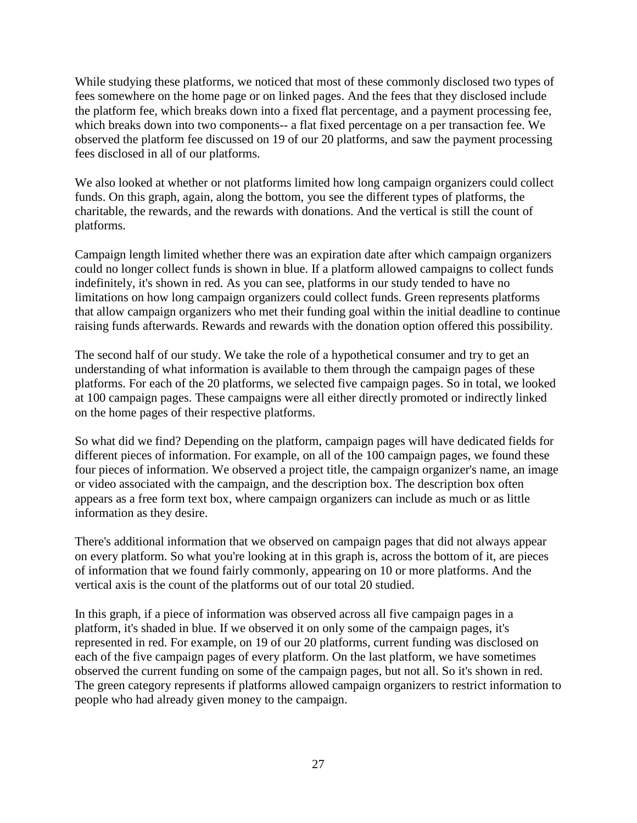While studying these platforms, we noticed that most of these commonly disclosed two types of fees somewhere on the home page or on linked pages. And the fees that they disclosed include the platform fee, which breaks down into a fixed flat percentage, and a payment processing fee, which breaks down into two components-- a flat fixed percentage on a per transaction fee. We observed the platform fee discussed on 19 of our 20 platforms, and saw the payment processing fees disclosed in all of our platforms.

We also looked at whether or not platforms limited how long campaign organizers could collect funds. On this graph, again, along the bottom, you see the different types of platforms, the charitable, the rewards, and the rewards with donations. And the vertical is still the count of platforms.

Campaign length limited whether there was an expiration date after which campaign organizers could no longer collect funds is shown in blue. If a platform allowed campaigns to collect funds indefinitely, it's shown in red. As you can see, platforms in our study tended to have no limitations on how long campaign organizers could collect funds. Green represents platforms that allow campaign organizers who met their funding goal within the initial deadline to continue raising funds afterwards. Rewards and rewards with the donation option offered this possibility.

The second half of our study. We take the role of a hypothetical consumer and try to get an understanding of what information is available to them through the campaign pages of these platforms. For each of the 20 platforms, we selected five campaign pages. So in total, we looked at 100 campaign pages. These campaigns were all either directly promoted or indirectly linked on the home pages of their respective platforms.

So what did we find? Depending on the platform, campaign pages will have dedicated fields for different pieces of information. For example, on all of the 100 campaign pages, we found these four pieces of information. We observed a project title, the campaign organizer's name, an image or video associated with the campaign, and the description box. The description box often appears as a free form text box, where campaign organizers can include as much or as little information as they desire.

There's additional information that we observed on campaign pages that did not always appear on every platform. So what you're looking at in this graph is, across the bottom of it, are pieces of information that we found fairly commonly, appearing on 10 or more platforms. And the vertical axis is the count of the platforms out of our total 20 studied.

In this graph, if a piece of information was observed across all five campaign pages in a platform, it's shaded in blue. If we observed it on only some of the campaign pages, it's represented in red. For example, on 19 of our 20 platforms, current funding was disclosed on each of the five campaign pages of every platform. On the last platform, we have sometimes observed the current funding on some of the campaign pages, but not all. So it's shown in red. The green category represents if platforms allowed campaign organizers to restrict information to people who had already given money to the campaign.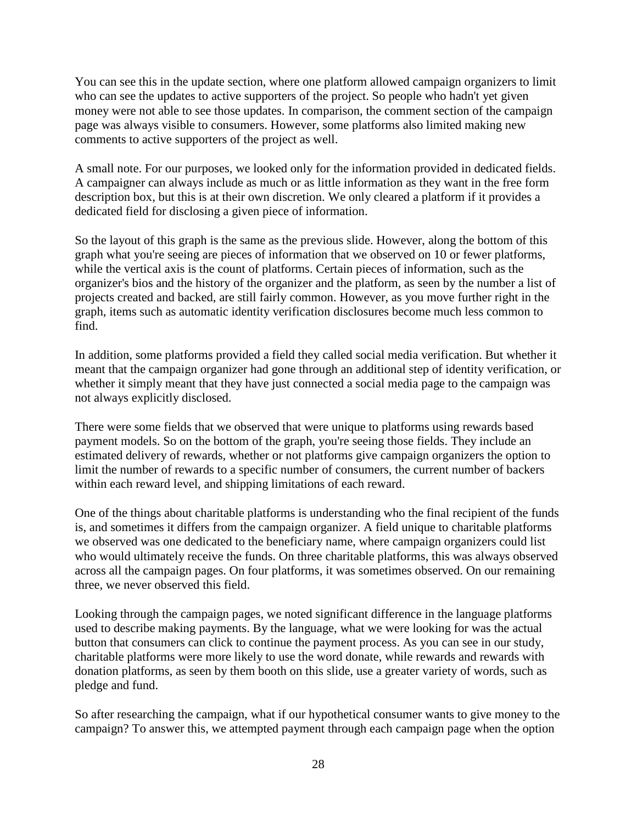You can see this in the update section, where one platform allowed campaign organizers to limit who can see the updates to active supporters of the project. So people who hadn't yet given money were not able to see those updates. In comparison, the comment section of the campaign page was always visible to consumers. However, some platforms also limited making new comments to active supporters of the project as well.

A small note. For our purposes, we looked only for the information provided in dedicated fields. A campaigner can always include as much or as little information as they want in the free form description box, but this is at their own discretion. We only cleared a platform if it provides a dedicated field for disclosing a given piece of information.

So the layout of this graph is the same as the previous slide. However, along the bottom of this graph what you're seeing are pieces of information that we observed on 10 or fewer platforms, while the vertical axis is the count of platforms. Certain pieces of information, such as the organizer's bios and the history of the organizer and the platform, as seen by the number a list of projects created and backed, are still fairly common. However, as you move further right in the graph, items such as automatic identity verification disclosures become much less common to find.

In addition, some platforms provided a field they called social media verification. But whether it meant that the campaign organizer had gone through an additional step of identity verification, or whether it simply meant that they have just connected a social media page to the campaign was not always explicitly disclosed.

There were some fields that we observed that were unique to platforms using rewards based payment models. So on the bottom of the graph, you're seeing those fields. They include an estimated delivery of rewards, whether or not platforms give campaign organizers the option to limit the number of rewards to a specific number of consumers, the current number of backers within each reward level, and shipping limitations of each reward.

One of the things about charitable platforms is understanding who the final recipient of the funds is, and sometimes it differs from the campaign organizer. A field unique to charitable platforms we observed was one dedicated to the beneficiary name, where campaign organizers could list who would ultimately receive the funds. On three charitable platforms, this was always observed across all the campaign pages. On four platforms, it was sometimes observed. On our remaining three, we never observed this field.

Looking through the campaign pages, we noted significant difference in the language platforms used to describe making payments. By the language, what we were looking for was the actual button that consumers can click to continue the payment process. As you can see in our study, charitable platforms were more likely to use the word donate, while rewards and rewards with donation platforms, as seen by them booth on this slide, use a greater variety of words, such as pledge and fund.

So after researching the campaign, what if our hypothetical consumer wants to give money to the campaign? To answer this, we attempted payment through each campaign page when the option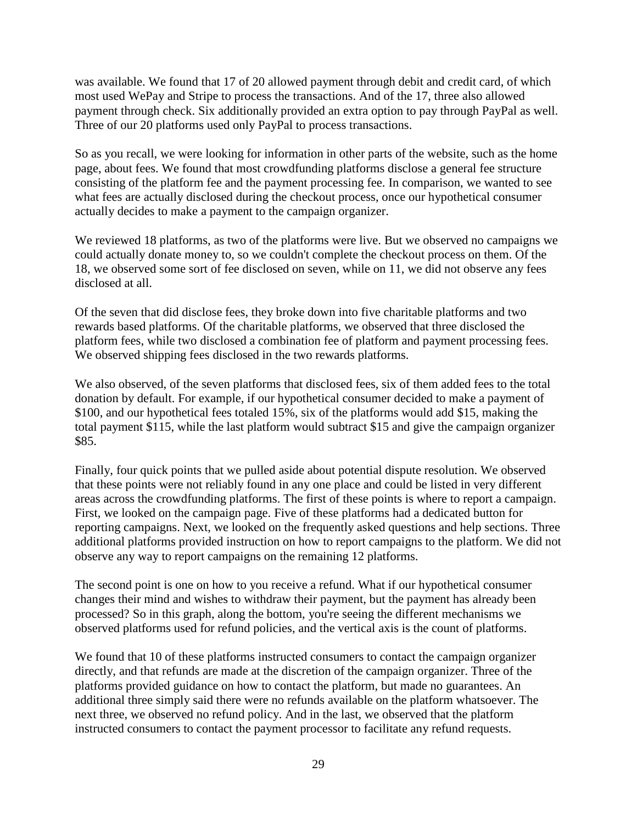was available. We found that 17 of 20 allowed payment through debit and credit card, of which most used WePay and Stripe to process the transactions. And of the 17, three also allowed payment through check. Six additionally provided an extra option to pay through PayPal as well. Three of our 20 platforms used only PayPal to process transactions.

So as you recall, we were looking for information in other parts of the website, such as the home page, about fees. We found that most crowdfunding platforms disclose a general fee structure consisting of the platform fee and the payment processing fee. In comparison, we wanted to see what fees are actually disclosed during the checkout process, once our hypothetical consumer actually decides to make a payment to the campaign organizer.

We reviewed 18 platforms, as two of the platforms were live. But we observed no campaigns we could actually donate money to, so we couldn't complete the checkout process on them. Of the 18, we observed some sort of fee disclosed on seven, while on 11, we did not observe any fees disclosed at all.

Of the seven that did disclose fees, they broke down into five charitable platforms and two rewards based platforms. Of the charitable platforms, we observed that three disclosed the platform fees, while two disclosed a combination fee of platform and payment processing fees. We observed shipping fees disclosed in the two rewards platforms.

We also observed, of the seven platforms that disclosed fees, six of them added fees to the total donation by default. For example, if our hypothetical consumer decided to make a payment of \$100, and our hypothetical fees totaled 15%, six of the platforms would add \$15, making the total payment \$115, while the last platform would subtract \$15 and give the campaign organizer \$85.

Finally, four quick points that we pulled aside about potential dispute resolution. We observed that these points were not reliably found in any one place and could be listed in very different areas across the crowdfunding platforms. The first of these points is where to report a campaign. First, we looked on the campaign page. Five of these platforms had a dedicated button for reporting campaigns. Next, we looked on the frequently asked questions and help sections. Three additional platforms provided instruction on how to report campaigns to the platform. We did not observe any way to report campaigns on the remaining 12 platforms.

The second point is one on how to you receive a refund. What if our hypothetical consumer changes their mind and wishes to withdraw their payment, but the payment has already been processed? So in this graph, along the bottom, you're seeing the different mechanisms we observed platforms used for refund policies, and the vertical axis is the count of platforms.

We found that 10 of these platforms instructed consumers to contact the campaign organizer directly, and that refunds are made at the discretion of the campaign organizer. Three of the platforms provided guidance on how to contact the platform, but made no guarantees. An additional three simply said there were no refunds available on the platform whatsoever. The next three, we observed no refund policy. And in the last, we observed that the platform instructed consumers to contact the payment processor to facilitate any refund requests.